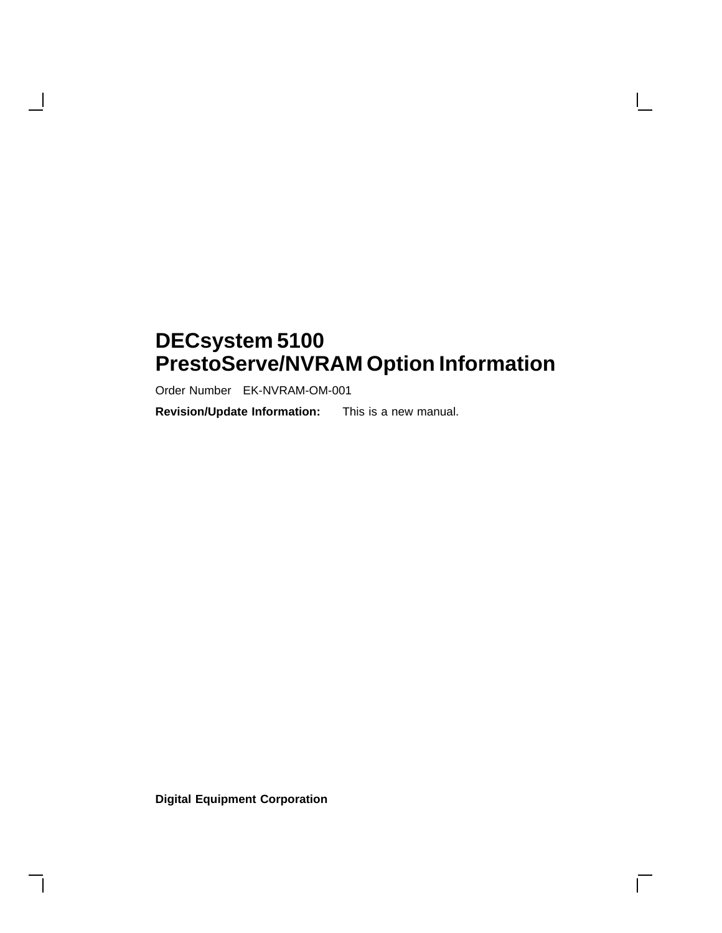## **DECsystem 5100 PrestoServe/NVRAM Option Information**

 $\mathbf{L}$ 

Order Number EK-NVRAM-OM-001

 $\mathbf{I}$ 

**Revision/Update Information:** This is a new manual.

**Digital Equipment Corporation**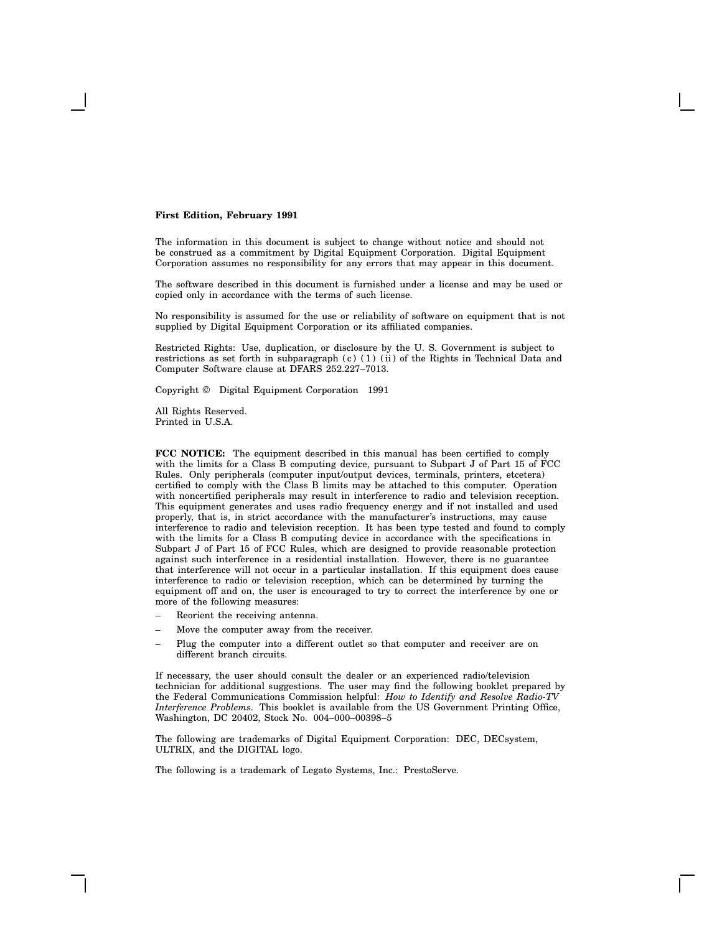#### **First Edition, February 1991**

The information in this document is subject to change without notice and should not be construed as a commitment by Digital Equipment Corporation. Digital Equipment Corporation assumes no responsibility for any errors that may appear in this document.

The software described in this document is furnished under a license and may be used or copied only in accordance with the terms of such license.

No responsibility is assumed for the use or reliability of software on equipment that is not supplied by Digital Equipment Corporation or its affiliated companies.

Restricted Rights: Use, duplication, or disclosure by the U. S. Government is subject to restrictions as set forth in subparagraph (c) (1) (ii) of the Rights in Technical Data and Computer Software clause at DFARS 252.227–7013.

Copyright © Digital Equipment Corporation 1991

All Rights Reserved. Printed in U.S.A.

**FCC NOTICE:** The equipment described in this manual has been certified to comply with the limits for a Class B computing device, pursuant to Subpart J of Part 15 of FCC Rules. Only peripherals (computer input/output devices, terminals, printers, etcetera) certified to comply with the Class B limits may be attached to this computer. Operation with noncertified peripherals may result in interference to radio and television reception. This equipment generates and uses radio frequency energy and if not installed and used properly, that is, in strict accordance with the manufacturer's instructions, may cause interference to radio and television reception. It has been type tested and found to comply with the limits for a Class B computing device in accordance with the specifications in Subpart J of Part 15 of FCC Rules, which are designed to provide reasonable protection against such interference in a residential installation. However, there is no guarantee that interference will not occur in a particular installation. If this equipment does cause interference to radio or television reception, which can be determined by turning the equipment off and on, the user is encouraged to try to correct the interference by one or more of the following measures:

- Reorient the receiving antenna.
- Move the computer away from the receiver.
- Plug the computer into a different outlet so that computer and receiver are on different branch circuits.

If necessary, the user should consult the dealer or an experienced radio/television technician for additional suggestions. The user may find the following booklet prepared by the Federal Communications Commission helpful: *How to Identify and Resolve Radio-TV Interference Problems*. This booklet is available from the US Government Printing Office, Washington, DC 20402, Stock No. 004–000–00398–5

The following are trademarks of Digital Equipment Corporation: DEC, DECsystem, ULTRIX, and the DIGITAL logo.

The following is a trademark of Legato Systems, Inc.: PrestoServe.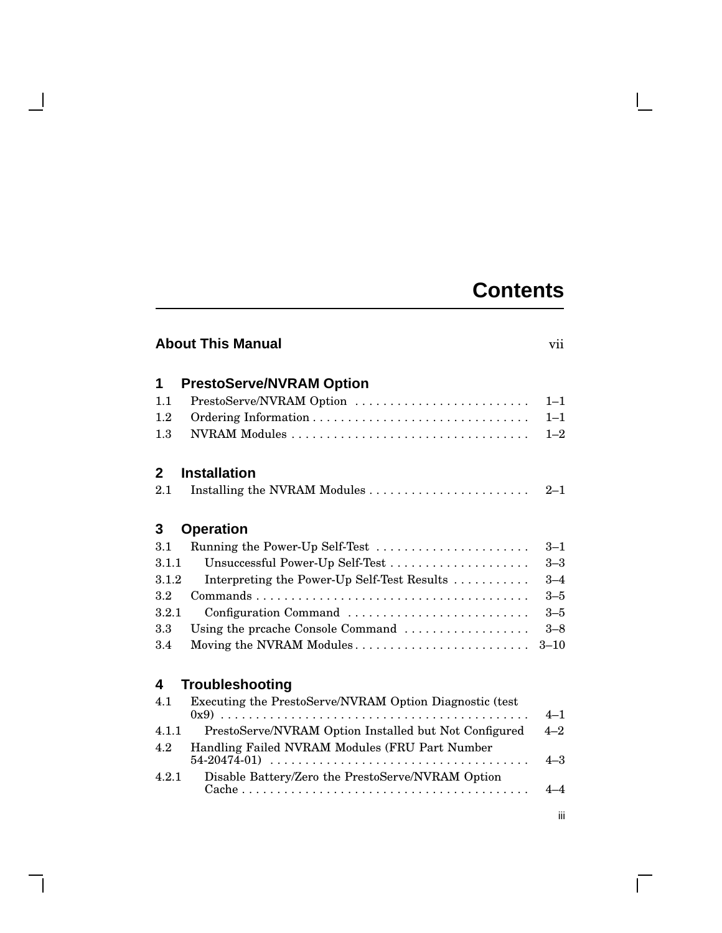## **Contents**

## **About This Manual** vii

 $\mathbf{I}$ 

 $\mathbf{L}$ 

| 1            | <b>PrestoServe/NVRAM Option</b>                         |          |
|--------------|---------------------------------------------------------|----------|
| 1.1          | PrestoServe/NVRAM Option                                | $1 - 1$  |
| 1.2          |                                                         | $1 - 1$  |
| 1.3          |                                                         | $1 - 2$  |
| $\mathbf{2}$ | <b>Installation</b>                                     |          |
| 2.1          |                                                         | $2 - 1$  |
| 3            | <b>Operation</b>                                        |          |
| 3.1          | Running the Power-Up Self-Test                          | $3 - 1$  |
| 3.1.1        |                                                         | $3 - 3$  |
| 3.1.2        | Interpreting the Power-Up Self-Test Results             | $3 - 4$  |
| $3.2\,$      |                                                         | $3 - 5$  |
| 3.2.1        | Configuration Command                                   | $3 - 5$  |
| 3.3          | Using the preache Console Command                       | $3 - 8$  |
| 3.4          | Moving the NVRAM Modules                                | $3 - 10$ |
| 4            | <b>Troubleshooting</b>                                  |          |
| 4.1          | Executing the PrestoServe/NVRAM Option Diagnostic (test |          |
|              |                                                         | $4 - 1$  |
| 4.1.1        | PrestoServe/NVRAM Option Installed but Not Configured   | $4 - 2$  |
| 4.2          | Handling Failed NVRAM Modules (FRU Part Number          | $4 - 3$  |
| 4.2.1        | Disable Battery/Zero the PrestoServe/NVRAM Option       | $4 - 4$  |
|              |                                                         |          |

iii

 $\overline{\Gamma}$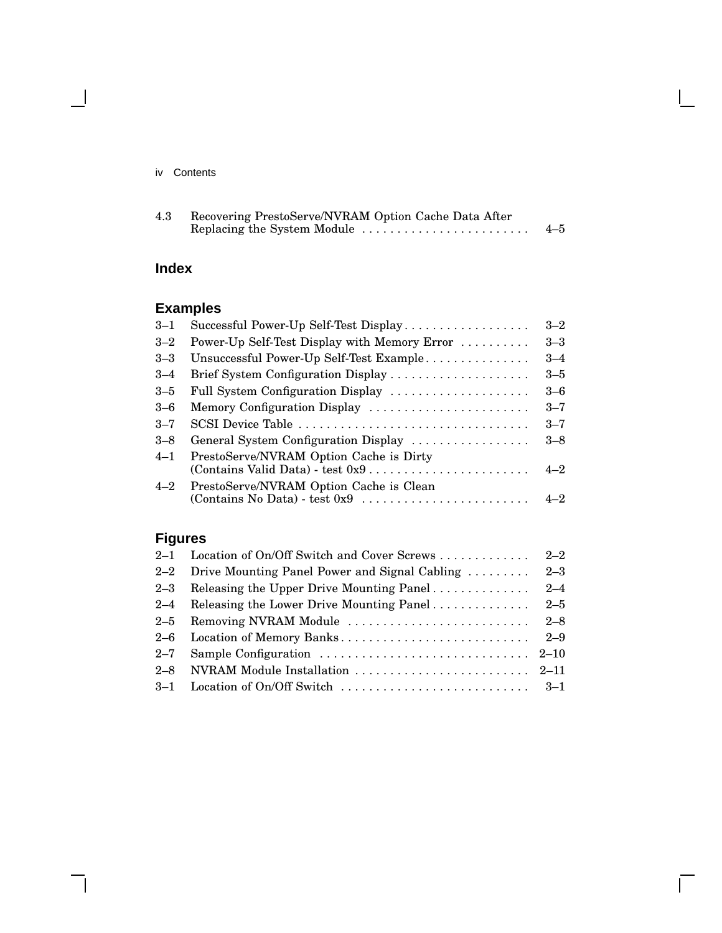#### iv Contents

 $\mathbb{R}^3$ 

| 4.3 | Recovering PrestoServe/NVRAM Option Cache Data After |         |
|-----|------------------------------------------------------|---------|
|     | Replacing the System Module                          | $4 - 5$ |

 $\mathsf{I}$ 

 $\bar{\Gamma}$ 

## **Index**

## **Examples**

| $3 - 1$ | Successful Power-Up Self-Test Display        | $3 - 2$ |
|---------|----------------------------------------------|---------|
| $3 - 2$ | Power-Up Self-Test Display with Memory Error | $3 - 3$ |
| $3 - 3$ | Unsuccessful Power-Up Self-Test Example      | $3 - 4$ |
| $3 - 4$ | Brief System Configuration Display           | $3 - 5$ |
| $3 - 5$ | Full System Configuration Display            | $3-6$   |
| $3 - 6$ | Memory Configuration Display                 | $3 - 7$ |
| $3 - 7$ | SCSI Device Table                            | $3 - 7$ |
| $3 - 8$ | General System Configuration Display         | $3 - 8$ |
| $4 - 1$ | PrestoServe/NVRAM Option Cache is Dirty      | $4 - 2$ |
| $4 - 2$ | PrestoServe/NVRAM Option Cache is Clean      |         |

## **Figures**

|         | 2–2 Drive Mounting Panel Power and Signal Cabling  2–3                                                       |  |
|---------|--------------------------------------------------------------------------------------------------------------|--|
|         |                                                                                                              |  |
| $2 - 4$ |                                                                                                              |  |
| $2 - 5$ |                                                                                                              |  |
|         |                                                                                                              |  |
|         | 2–7 Sample Configuration $\ldots \ldots \ldots \ldots \ldots \ldots \ldots \ldots \ldots \ldots \ldots$ 2–10 |  |
|         |                                                                                                              |  |
|         |                                                                                                              |  |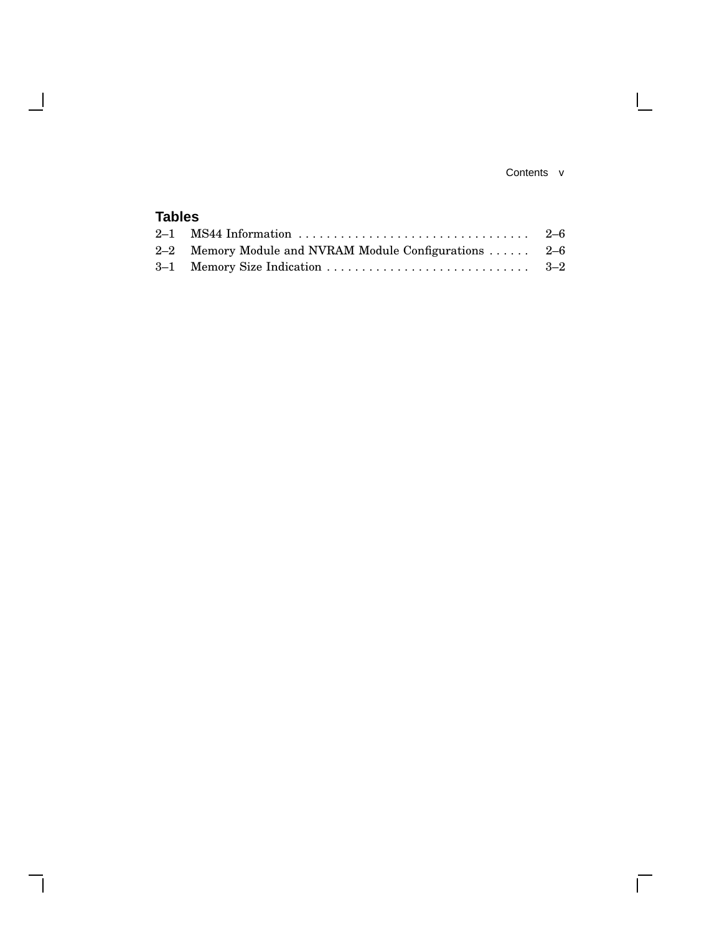#### Contents v

 $\mathbf{L}$ 

 $\overline{\Gamma}$ 

## **Tables**

 $\overline{\phantom{a}}$ 

 $\mathsf{l}$ 

| 2-2 Memory Module and NVRAM Module Configurations  2-6 |  |
|--------------------------------------------------------|--|
|                                                        |  |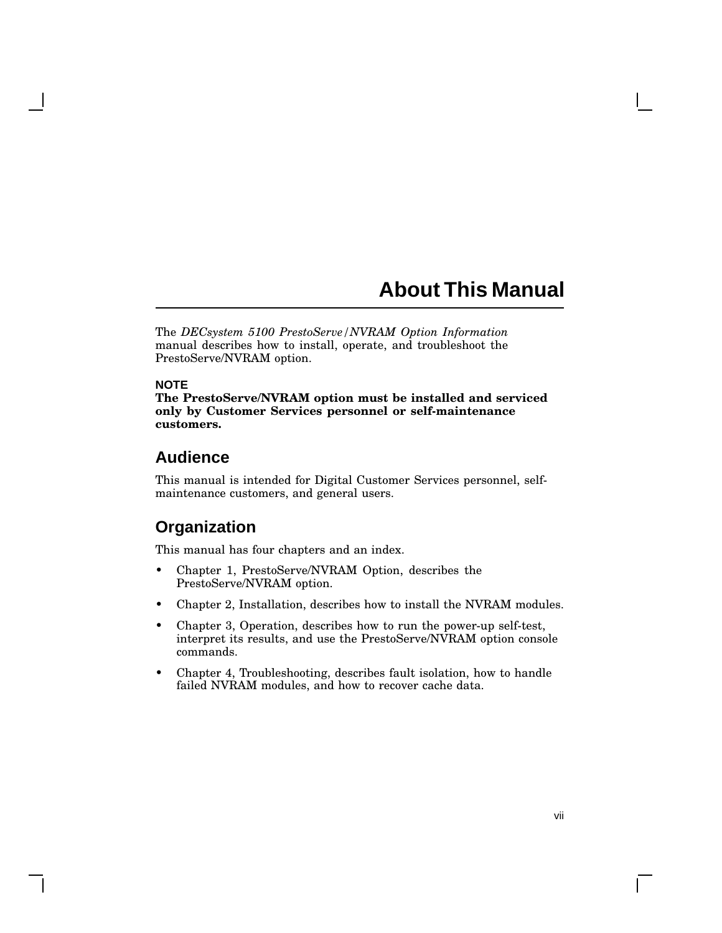## **About This Manual**

The *DECsystem 5100 PrestoServe/NVRAM Option Information* manual describes how to install, operate, and troubleshoot the PrestoServe/NVRAM option.

#### **NOTE**

**The PrestoServe/NVRAM option must be installed and serviced only by Customer Services personnel or self-maintenance customers.**

## **Audience**

This manual is intended for Digital Customer Services personnel, selfmaintenance customers, and general users.

## **Organization**

This manual has four chapters and an index.

- Chapter 1, PrestoServe/NVRAM Option, describes the PrestoServe/NVRAM option.
- Chapter 2, Installation, describes how to install the NVRAM modules.
- Chapter 3, Operation, describes how to run the power-up self-test, interpret its results, and use the PrestoServe/NVRAM option console commands.
- Chapter 4, Troubleshooting, describes fault isolation, how to handle failed NVRAM modules, and how to recover cache data.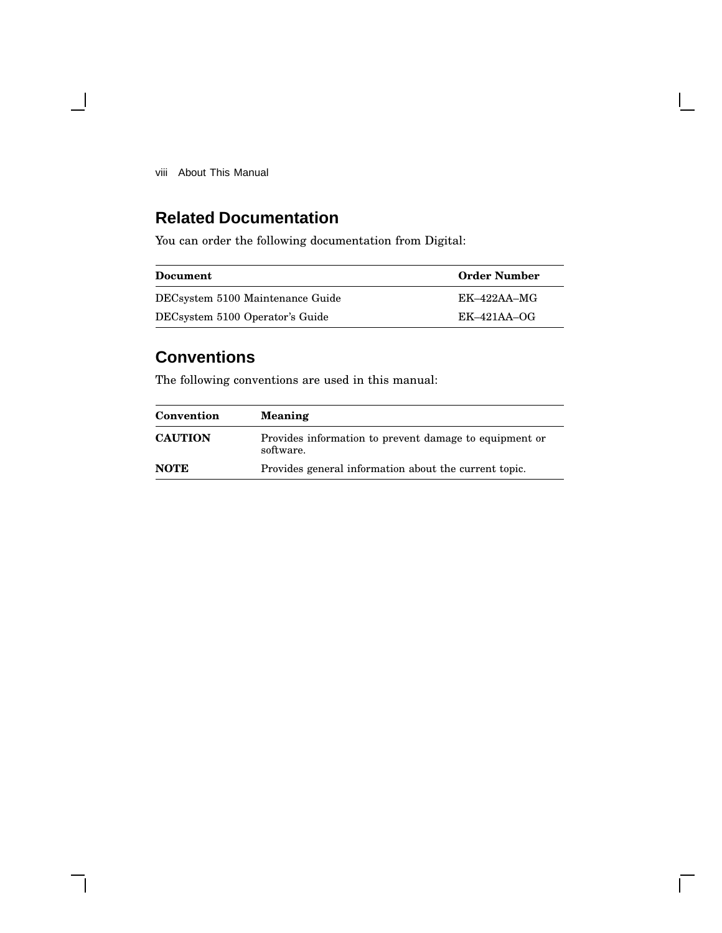viii About This Manual

 $\blacksquare$ 

## **Related Documentation**

You can order the following documentation from Digital:

| Document                         | <b>Order Number</b> |
|----------------------------------|---------------------|
| DECsystem 5100 Maintenance Guide | $EK-422AA-MG$       |
| DECsystem 5100 Operator's Guide  | $EK-421AA-OG$       |

## **Conventions**

The following conventions are used in this manual:

| Convention     | <b>Meaning</b>                                                      |
|----------------|---------------------------------------------------------------------|
| <b>CAUTION</b> | Provides information to prevent damage to equipment or<br>software. |
| <b>NOTE</b>    | Provides general information about the current topic.               |

 $\Box$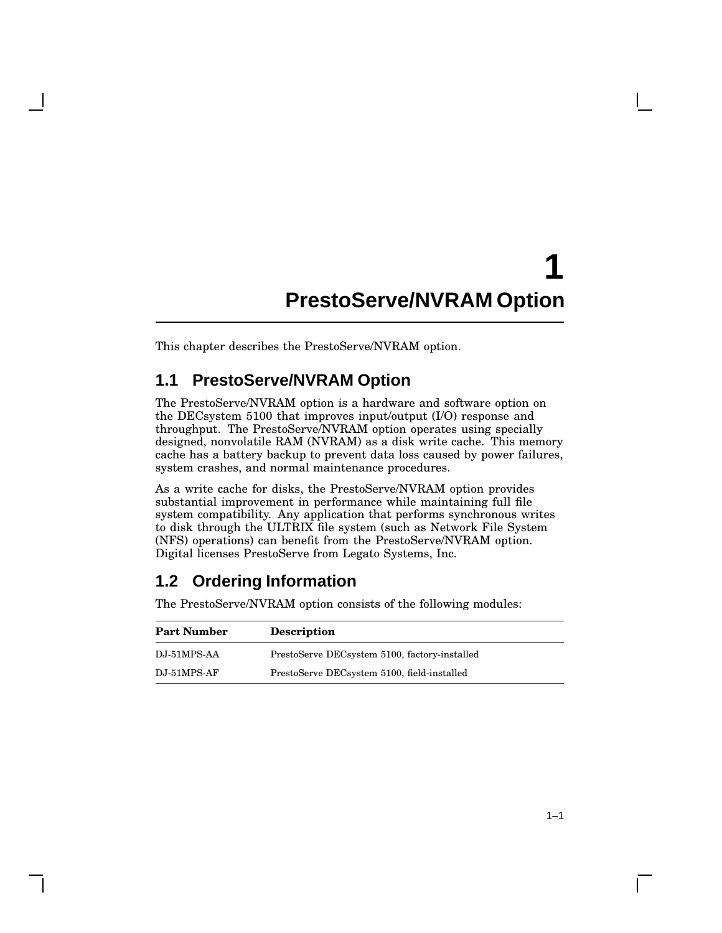## **1 PrestoServe/NVRAM Option**

This chapter describes the PrestoServe/NVRAM option.

## **1.1 PrestoServe/NVRAM Option**

The PrestoServe/NVRAM option is a hardware and software option on the DECsystem 5100 that improves input/output (I/O) response and throughput. The PrestoServe/NVRAM option operates using specially designed, nonvolatile RAM (NVRAM) as a disk write cache. This memory cache has a battery backup to prevent data loss caused by power failures, system crashes, and normal maintenance procedures.

As a write cache for disks, the PrestoServe/NVRAM option provides substantial improvement in performance while maintaining full file system compatibility. Any application that performs synchronous writes to disk through the ULTRIX file system (such as Network File System (NFS) operations) can benefit from the PrestoServe/NVRAM option. Digital licenses PrestoServe from Legato Systems, Inc.

## **1.2 Ordering Information**

The PrestoServe/NVRAM option consists of the following modules:

| <b>Part Number</b> | <b>Description</b>                            |
|--------------------|-----------------------------------------------|
| DJ-51MPS-AA        | PrestoServe DECsystem 5100, factory-installed |
| $DJ-51MPS-AF$      | PrestoServe DECsystem 5100, field-installed   |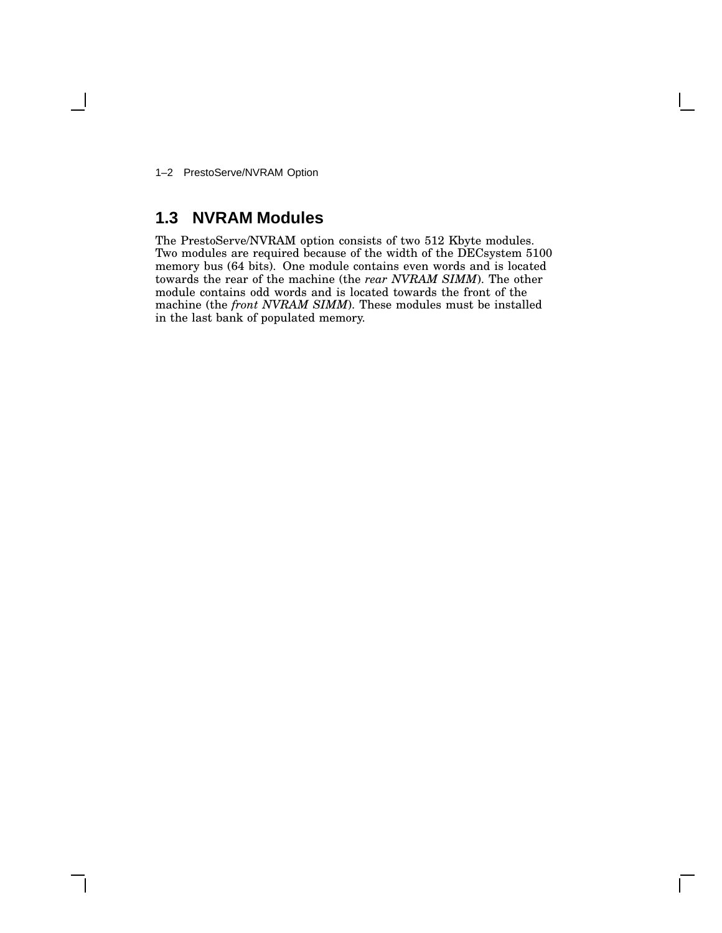1–2 PrestoServe/NVRAM Option

## **1.3 NVRAM Modules**

The PrestoServe/NVRAM option consists of two 512 Kbyte modules. Two modules are required because of the width of the DECsystem 5100 memory bus (64 bits). One module contains even words and is located towards the rear of the machine (the *rear NVRAM SIMM*). The other module contains odd words and is located towards the front of the machine (the *front NVRAM SIMM*). These modules must be installed in the last bank of populated memory.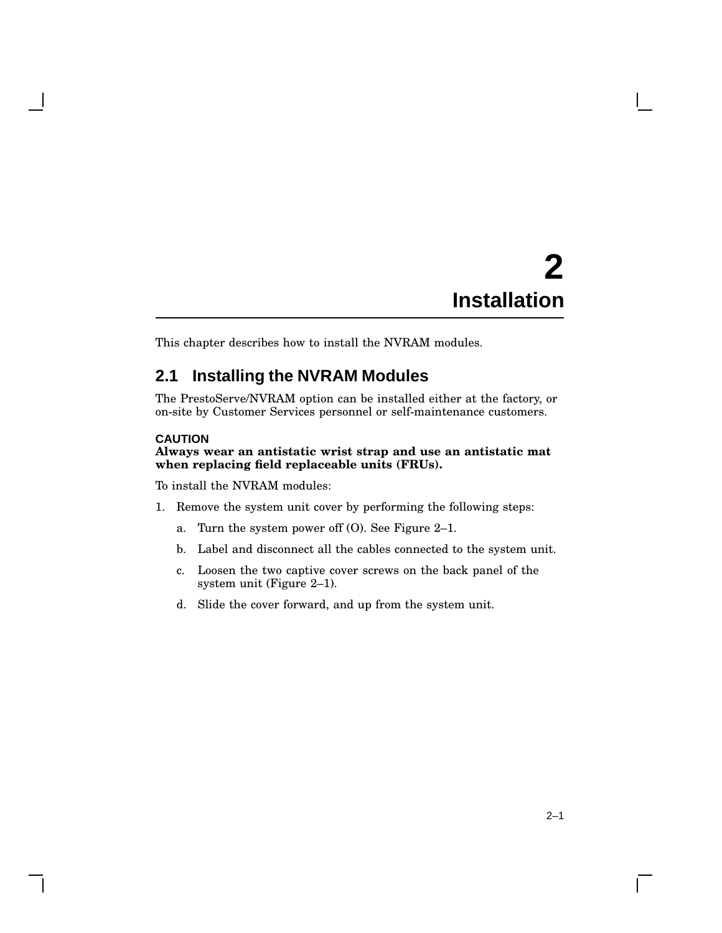# **2 Installation**

This chapter describes how to install the NVRAM modules.

## **2.1 Installing the NVRAM Modules**

The PrestoServe/NVRAM option can be installed either at the factory, or on-site by Customer Services personnel or self-maintenance customers.

#### **CAUTION**

#### **Always wear an antistatic wrist strap and use an antistatic mat when replacing field replaceable units (FRUs).**

To install the NVRAM modules:

- 1. Remove the system unit cover by performing the following steps:
	- a. Turn the system power off (O). See Figure 2–1.
	- b. Label and disconnect all the cables connected to the system unit.
	- c. Loosen the two captive cover screws on the back panel of the system unit (Figure 2–1).
	- d. Slide the cover forward, and up from the system unit.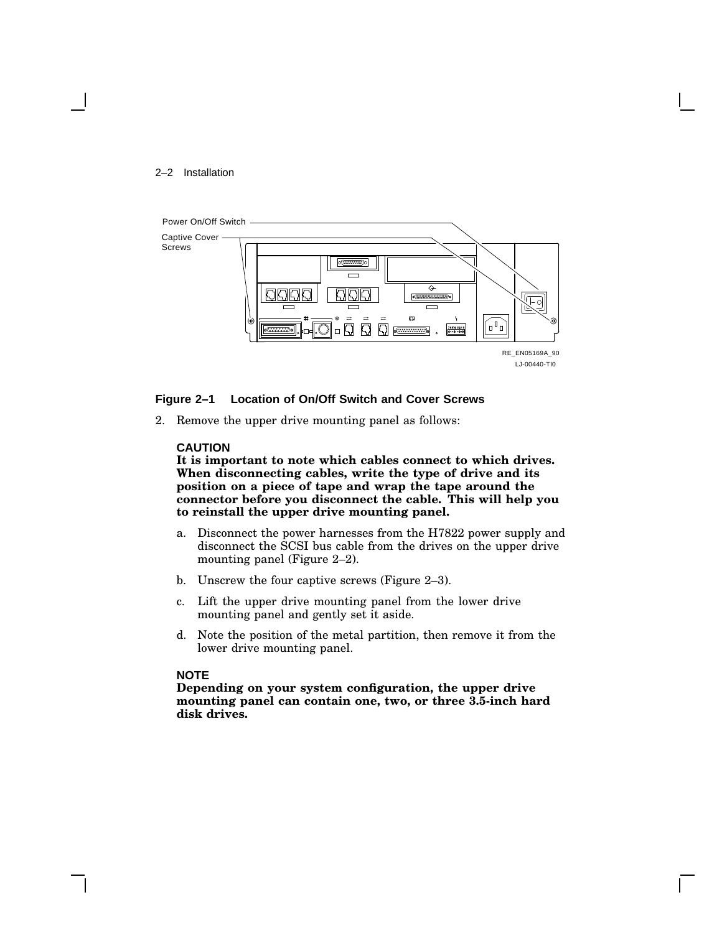#### 2–2 Installation



#### **Figure 2–1 Location of On/Off Switch and Cover Screws**

2. Remove the upper drive mounting panel as follows:

#### **CAUTION**

**It is important to note which cables connect to which drives. When disconnecting cables, write the type of drive and its position on a piece of tape and wrap the tape around the connector before you disconnect the cable. This will help you to reinstall the upper drive mounting panel.**

- a. Disconnect the power harnesses from the H7822 power supply and disconnect the SCSI bus cable from the drives on the upper drive mounting panel (Figure 2–2).
- b. Unscrew the four captive screws (Figure 2–3).
- c. Lift the upper drive mounting panel from the lower drive mounting panel and gently set it aside.
- d. Note the position of the metal partition, then remove it from the lower drive mounting panel.

#### **NOTE**

**Depending on your system configuration, the upper drive mounting panel can contain one, two, or three 3.5-inch hard disk drives.**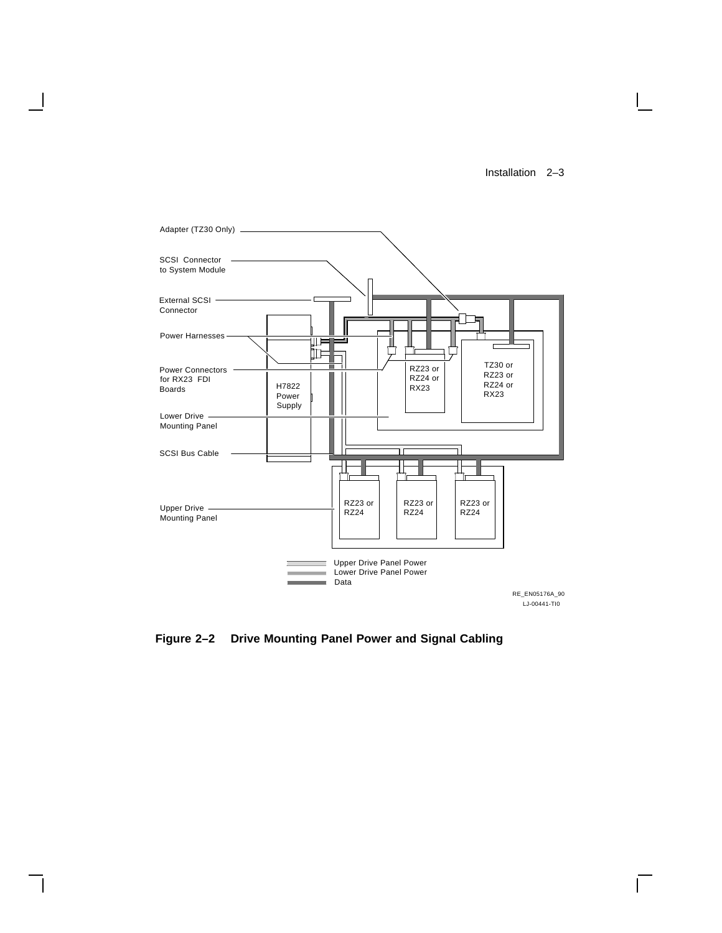Installation 2–3

 $\mathbf{L}$ 



**Figure 2–2 Drive Mounting Panel Power and Signal Cabling**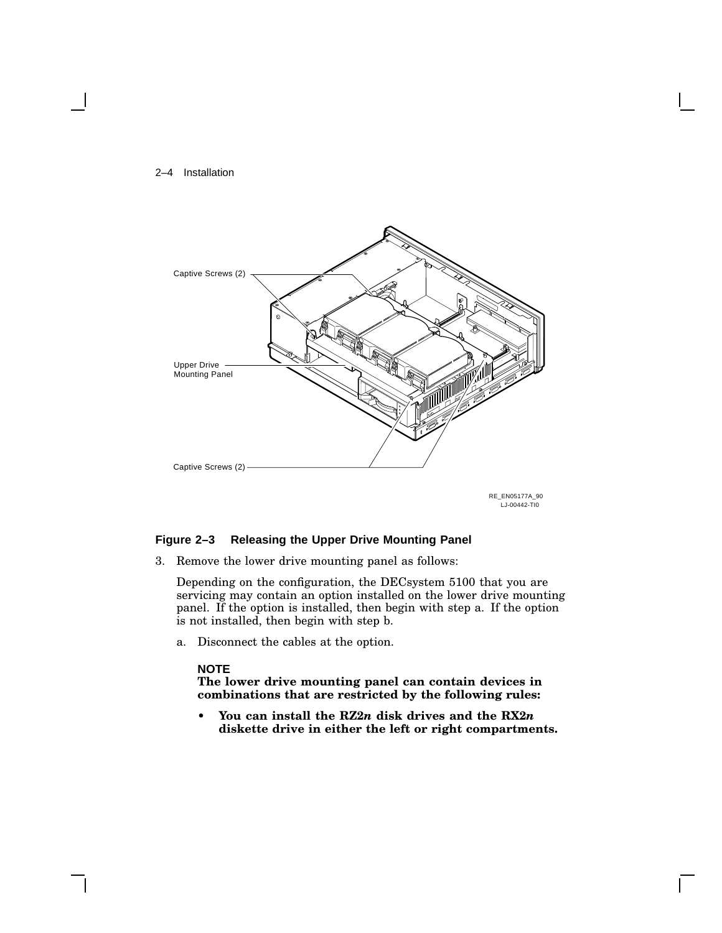#### 2–4 Installation



RE\_EN05177A\_90 LJ-00442-TI0

#### **Figure 2–3 Releasing the Upper Drive Mounting Panel**

3. Remove the lower drive mounting panel as follows:

Depending on the configuration, the DECsystem 5100 that you are servicing may contain an option installed on the lower drive mounting panel. If the option is installed, then begin with step a. If the option is not installed, then begin with step b.

a. Disconnect the cables at the option.

#### **NOTE**

**The lower drive mounting panel can contain devices in combinations that are restricted by the following rules:**

**• You can install the RZ2***n* **disk drives and the RX2***n* **diskette drive in either the left or right compartments.**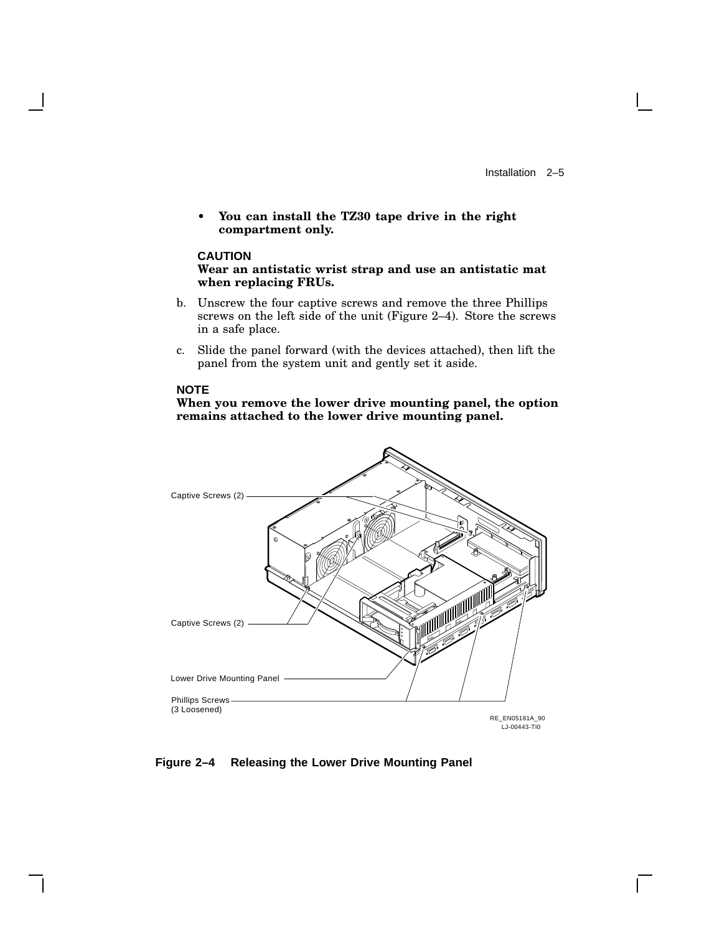**• You can install the TZ30 tape drive in the right compartment only.**

#### **CAUTION**

**Wear an antistatic wrist strap and use an antistatic mat when replacing FRUs.**

- b. Unscrew the four captive screws and remove the three Phillips screws on the left side of the unit (Figure 2–4). Store the screws in a safe place.
- c. Slide the panel forward (with the devices attached), then lift the panel from the system unit and gently set it aside.

#### **NOTE**

#### **When you remove the lower drive mounting panel, the option remains attached to the lower drive mounting panel.**



#### **Figure 2–4 Releasing the Lower Drive Mounting Panel**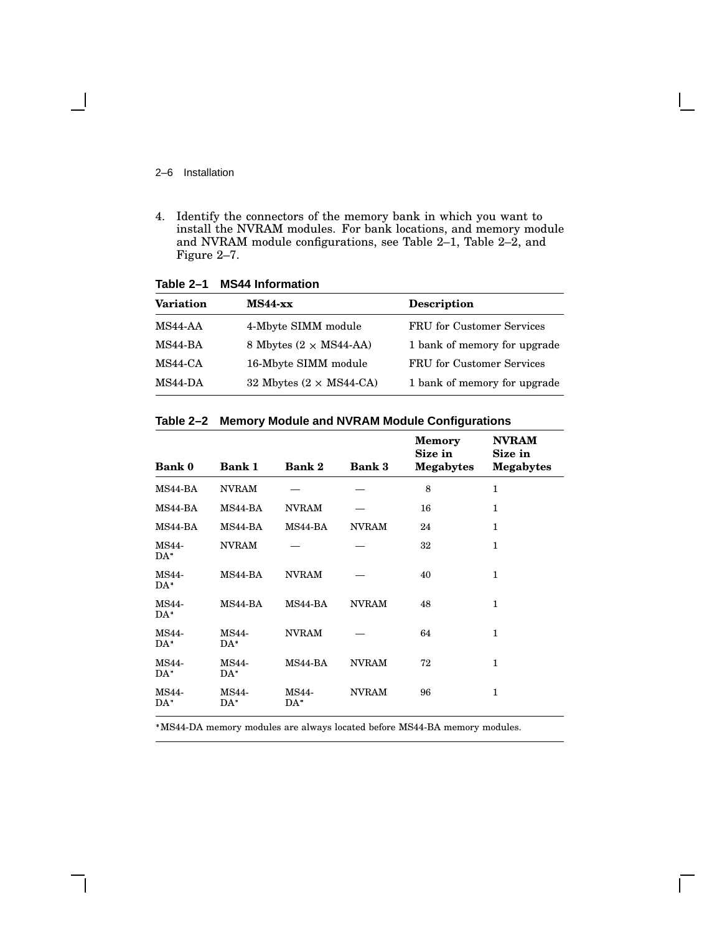2–6 Installation

 $\overline{\phantom{a}}$ 

4. Identify the connectors of the memory bank in which you want to install the NVRAM modules. For bank locations, and memory module and NVRAM module configurations, see Table 2–1, Table 2–2, and Figure 2–7.

| <b>Variation</b> | $MS44$ -xx                     | <b>Description</b>               |
|------------------|--------------------------------|----------------------------------|
| MS44-AA          | 4-Mbyte SIMM module            | <b>FRU</b> for Customer Services |
| MS44-BA          | 8 Mbytes $(2 \times MS44-AA)$  | 1 bank of memory for upgrade     |
| MS44-CA          | 16-Mbyte SIMM module           | FRU for Customer Services        |
| $MS44-DA$        | 32 Mbytes $(2 \times MS44-CA)$ | 1 bank of memory for upgrade     |

**Table 2–1 MS44 Information**

| Table 2-2 Memory Module and NVRAM Module Configurations |  |
|---------------------------------------------------------|--|
|---------------------------------------------------------|--|

| <b>Bank 0</b>          | <b>Bank 1</b>   | <b>Bank 2</b> | <b>Bank 3</b> | <b>Memory</b><br>Size in<br><b>Megabytes</b> | <b>NVRAM</b><br>Size in<br><b>Megabytes</b> |
|------------------------|-----------------|---------------|---------------|----------------------------------------------|---------------------------------------------|
| MS44-BA                | <b>NVRAM</b>    |               |               | 8                                            | $\mathbf{1}$                                |
| MS44-BA                | MS44-BA         | <b>NVRAM</b>  |               | 16                                           | $\mathbf{1}$                                |
| MS44-BA                | MS44-BA         | MS44-BA       | <b>NVRAM</b>  | 24                                           | 1                                           |
| <b>MS44-</b><br>$DA*$  | <b>NVRAM</b>    |               |               | 32                                           | $\mathbf{1}$                                |
| <b>MS44-</b><br>$DA^*$ | MS44-BA         | <b>NVRAM</b>  |               | 40                                           | 1                                           |
| MS44-<br>$DA*$         | MS44-BA         | MS44-BA       | <b>NVRAM</b>  | 48                                           | 1                                           |
| <b>MS44-</b><br>$DA^*$ | MS44-<br>$DA*$  | <b>NVRAM</b>  |               | 64                                           | 1                                           |
| <b>MS44-</b><br>$DA*$  | MS44-<br>$DA*$  | MS44-BA       | <b>NVRAM</b>  | 72                                           | $\mathbf{1}$                                |
| <b>MS44-</b><br>$DA^*$ | MS44-<br>$DA^*$ | MS44-<br>DA*  | <b>NVRAM</b>  | 96                                           | 1                                           |

MS44-DA memory modules are always located before MS44-BA memory modules.

 $\mathbf{L}$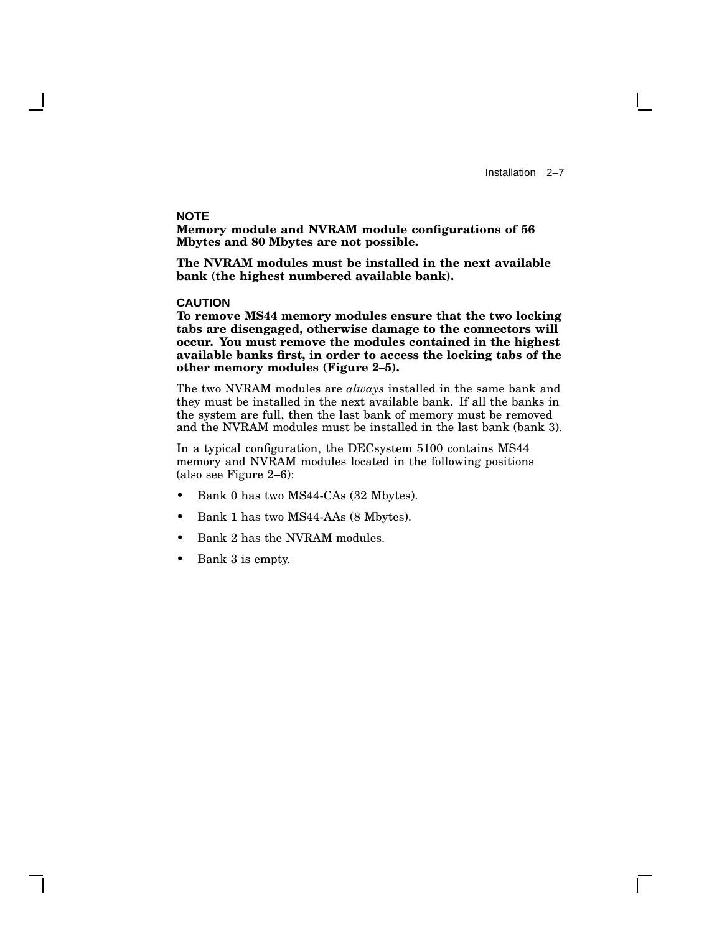Installation 2–7

#### **NOTE**

**Memory module and NVRAM module configurations of 56 Mbytes and 80 Mbytes are not possible.**

**The NVRAM modules must be installed in the next available bank (the highest numbered available bank).**

#### **CAUTION**

**To remove MS44 memory modules ensure that the two locking tabs are disengaged, otherwise damage to the connectors will occur. You must remove the modules contained in the highest available banks first, in order to access the locking tabs of the other memory modules (Figure 2–5).**

The two NVRAM modules are *always* installed in the same bank and they must be installed in the next available bank. If all the banks in the system are full, then the last bank of memory must be removed and the NVRAM modules must be installed in the last bank (bank 3).

In a typical configuration, the DECsystem 5100 contains MS44 memory and NVRAM modules located in the following positions (also see Figure 2–6):

- Bank 0 has two MS44-CAs (32 Mbytes).
- Bank 1 has two MS44-AAs (8 Mbytes).
- Bank 2 has the NVRAM modules.
- Bank 3 is empty.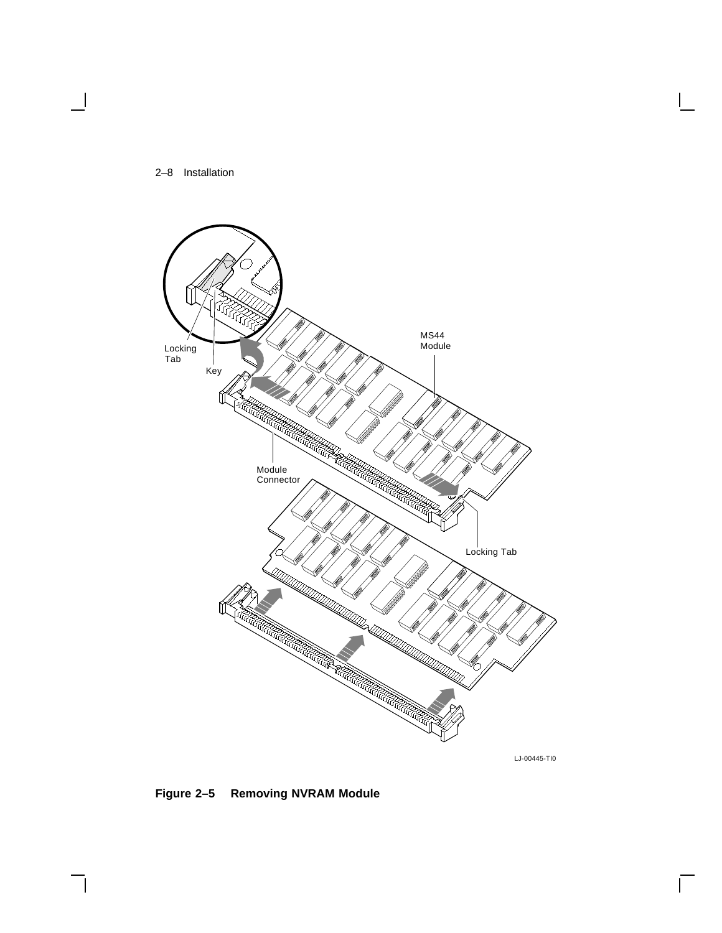



LJ-00445-TI0

 $\overline{\Gamma}$ 

**Figure 2–5 Removing NVRAM Module**

 $\mathsf{l}$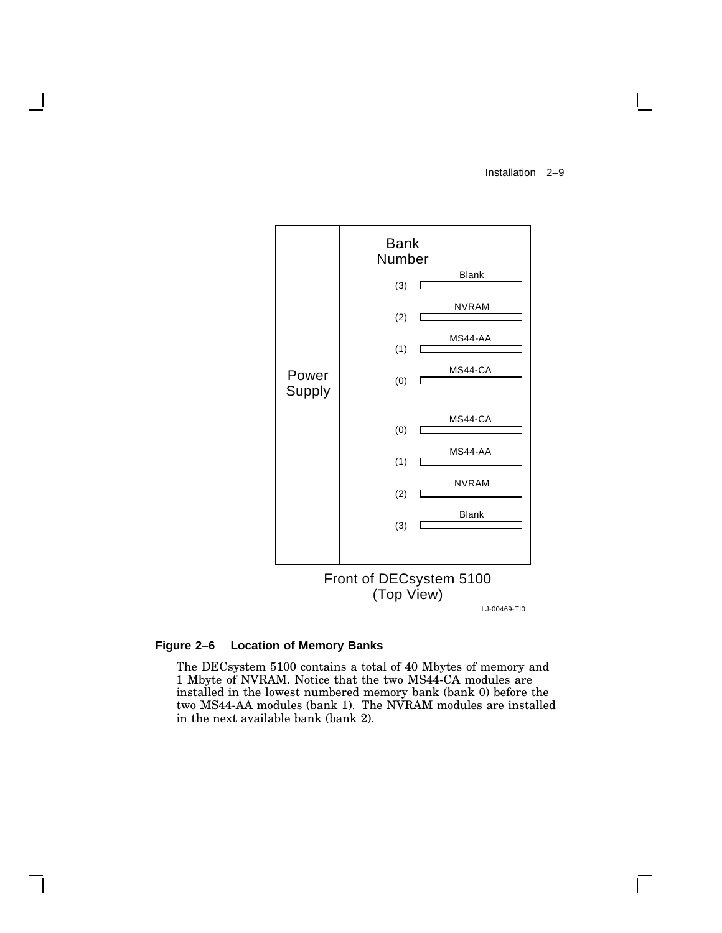Installation 2–9

 $\mathbf{I}$ 

![](_page_18_Figure_1.jpeg)

### **Figure 2–6 Location of Memory Banks**

The DECsystem 5100 contains a total of 40 Mbytes of memory and 1 Mbyte of NVRAM. Notice that the two MS44-CA modules are installed in the lowest numbered memory bank (bank 0) before the two MS44-AA modules (bank 1). The NVRAM modules are installed in the next available bank (bank 2).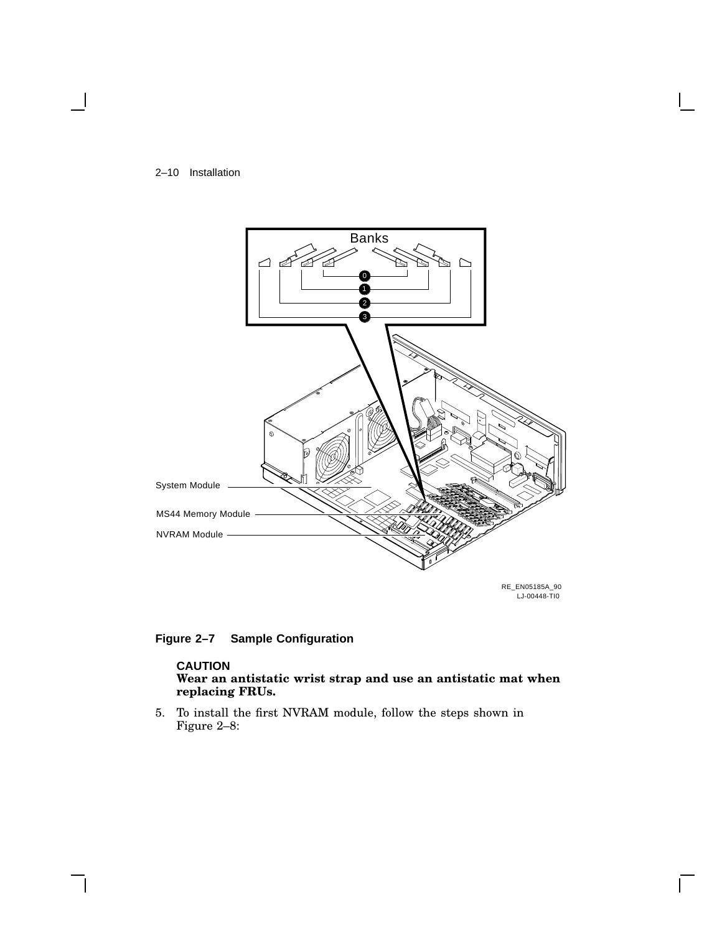![](_page_19_Figure_0.jpeg)

![](_page_19_Figure_1.jpeg)

**Figure 2–7 Sample Configuration**

#### **CAUTION Wear an antistatic wrist strap and use an antistatic mat when replacing FRUs.**

5. To install the first NVRAM module, follow the steps shown in Figure 2–8: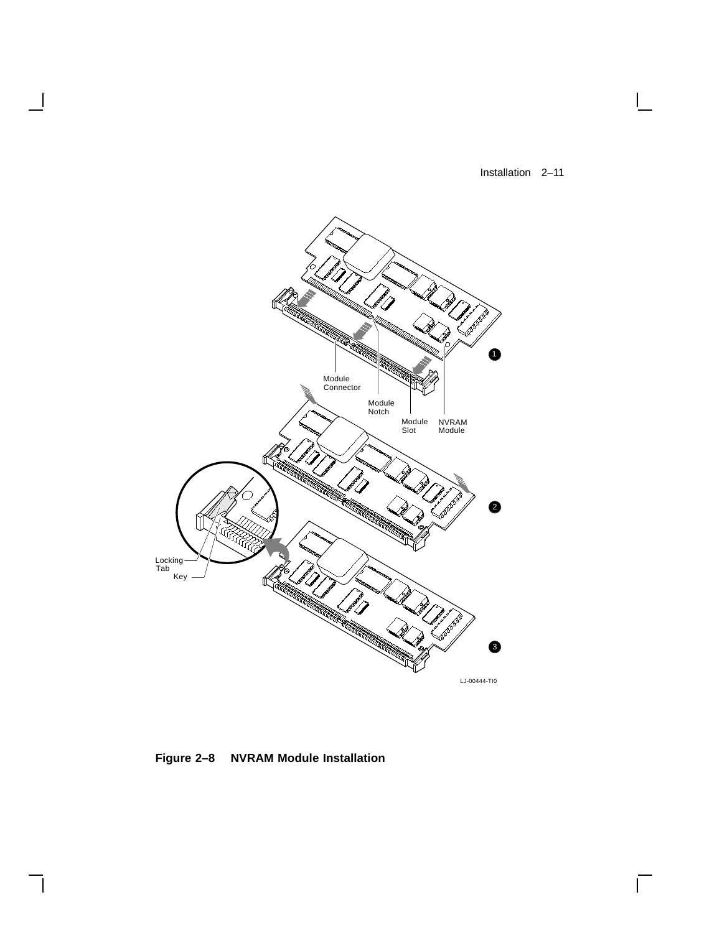Installation 2–11

 $\Box$ 

 $\overline{\Gamma}$ 

![](_page_20_Figure_1.jpeg)

**Figure 2–8 NVRAM Module Installation**

 $\overline{\phantom{a}}$ 

 $\overline{\phantom{a}}$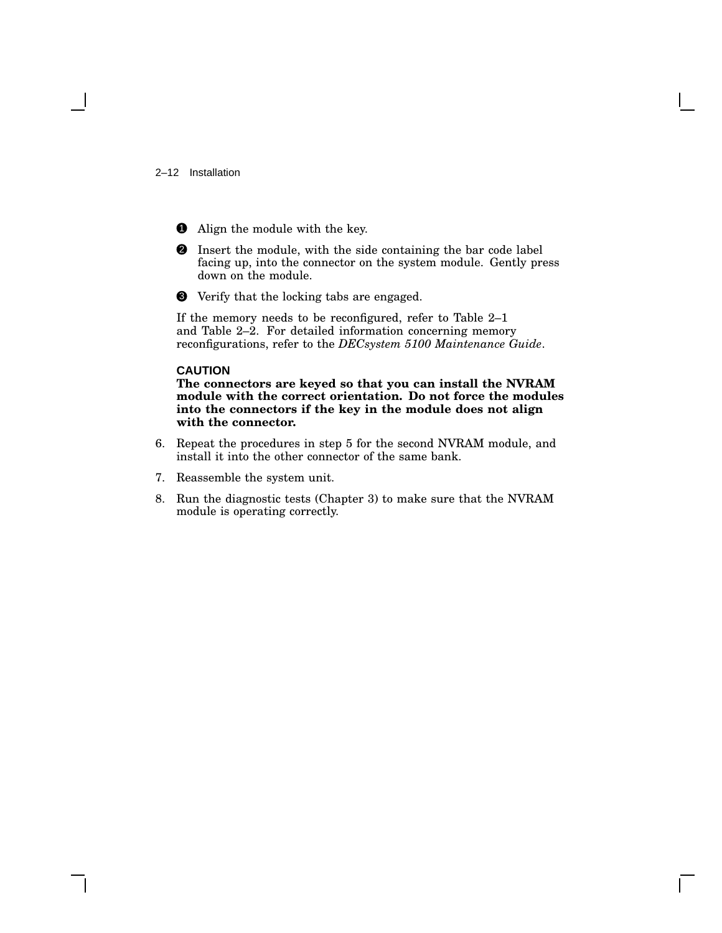#### 2–12 Installation

- **1** Align the module with the key.
- 2 Insert the module, with the side containing the bar code label facing up, into the connector on the system module. Gently press down on the module.
- 3 Verify that the locking tabs are engaged.

If the memory needs to be reconfigured, refer to Table 2–1 and Table 2–2. For detailed information concerning memory reconfigurations, refer to the *DECsystem 5100 Maintenance Guide*.

#### **CAUTION**

**The connectors are keyed so that you can install the NVRAM module with the correct orientation. Do not force the modules into the connectors if the key in the module does not align with the connector.**

- 6. Repeat the procedures in step 5 for the second NVRAM module, and install it into the other connector of the same bank.
- 7. Reassemble the system unit.
- 8. Run the diagnostic tests (Chapter 3) to make sure that the NVRAM module is operating correctly.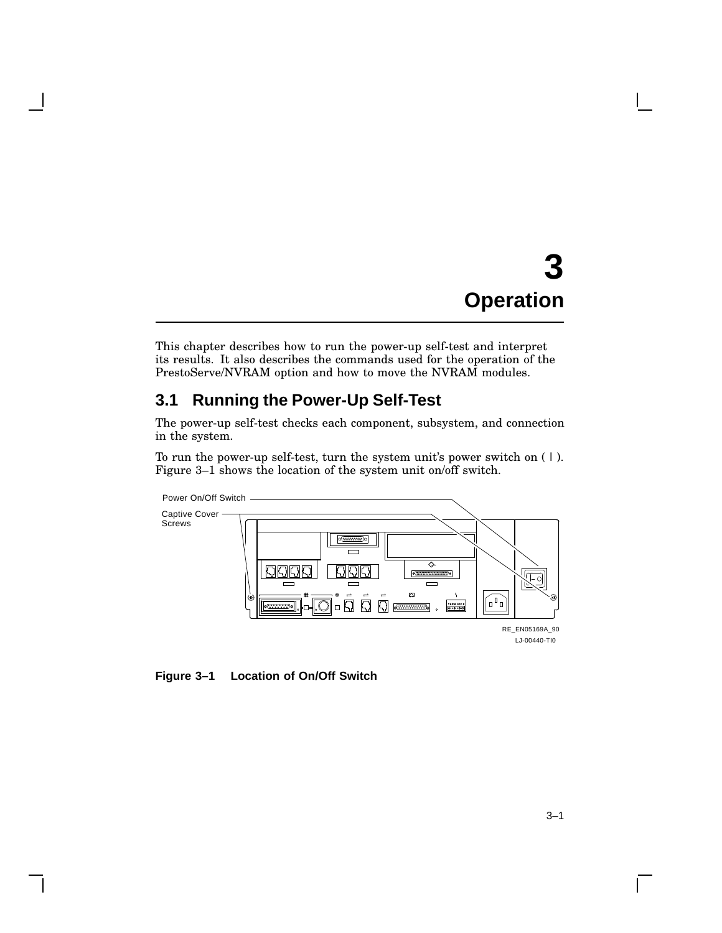## **3 Operation**

This chapter describes how to run the power-up self-test and interpret its results. It also describes the commands used for the operation of the PrestoServe/NVRAM option and how to move the NVRAM modules.

## **3.1 Running the Power-Up Self-Test**

The power-up self-test checks each component, subsystem, and connection in the system.

To run the power-up self-test, turn the system unit's power switch on ( | ). Figure 3–1 shows the location of the system unit on/off switch.

![](_page_22_Figure_5.jpeg)

**Figure 3–1 Location of On/Off Switch**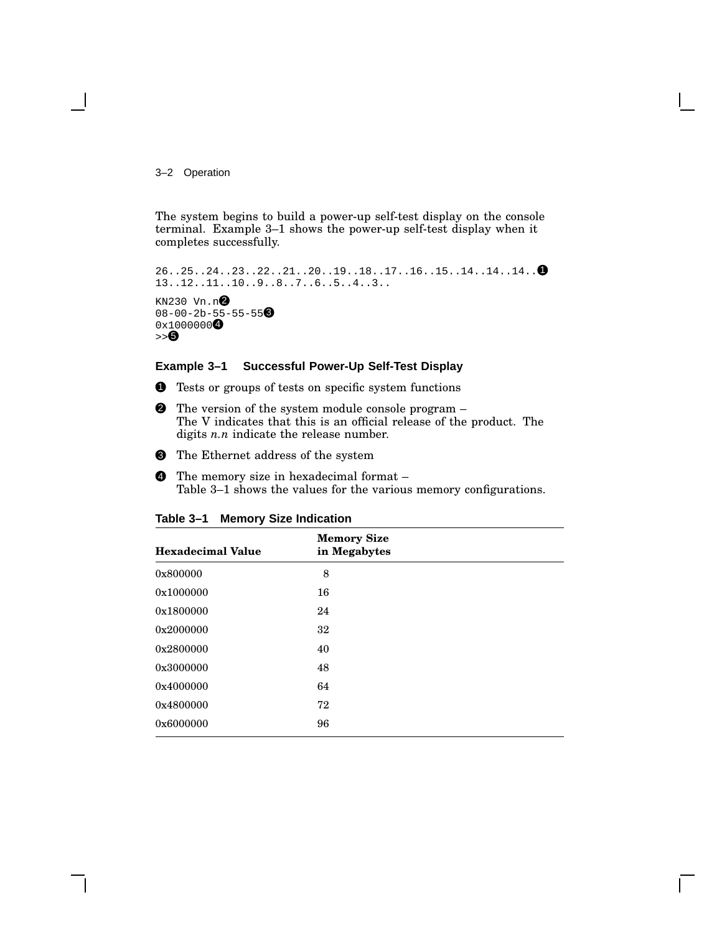#### 3–2 Operation

The system begins to build a power-up self-test display on the console terminal. Example 3–1 shows the power-up self-test display when it completes successfully.

```
26..25..24..23..22..21..20..19..18..17..16..15..14..14..14.. 1
13..12..11..10..9..8..7..6..5..4..3..
KN230 Vn.n\odot08-00-2b-55-55-550x10000000>> 6
```
#### **Example 3–1 Successful Power-Up Self-Test Display**

- **1** Tests or groups of tests on specific system functions
- 2 The version of the system module console program The V indicates that this is an official release of the product. The digits *n.n* indicate the release number.
- <sup>3</sup> The Ethernet address of the system
- 4 The memory size in hexadecimal format Table 3–1 shows the values for the various memory configurations.

| <b>Hexadecimal Value</b> | <b>Memory Size</b><br>in Megabytes |  |
|--------------------------|------------------------------------|--|
| 0x800000                 | 8                                  |  |
| 0x1000000                | 16                                 |  |
| 0x1800000                | 24                                 |  |
| 0x2000000                | 32                                 |  |
| 0x2800000                | 40                                 |  |
| 0x3000000                | 48                                 |  |
| 0x4000000                | 64                                 |  |
| 0x4800000                | 72                                 |  |
| 0x6000000                | 96                                 |  |

#### **Table 3–1 Memory Size Indication**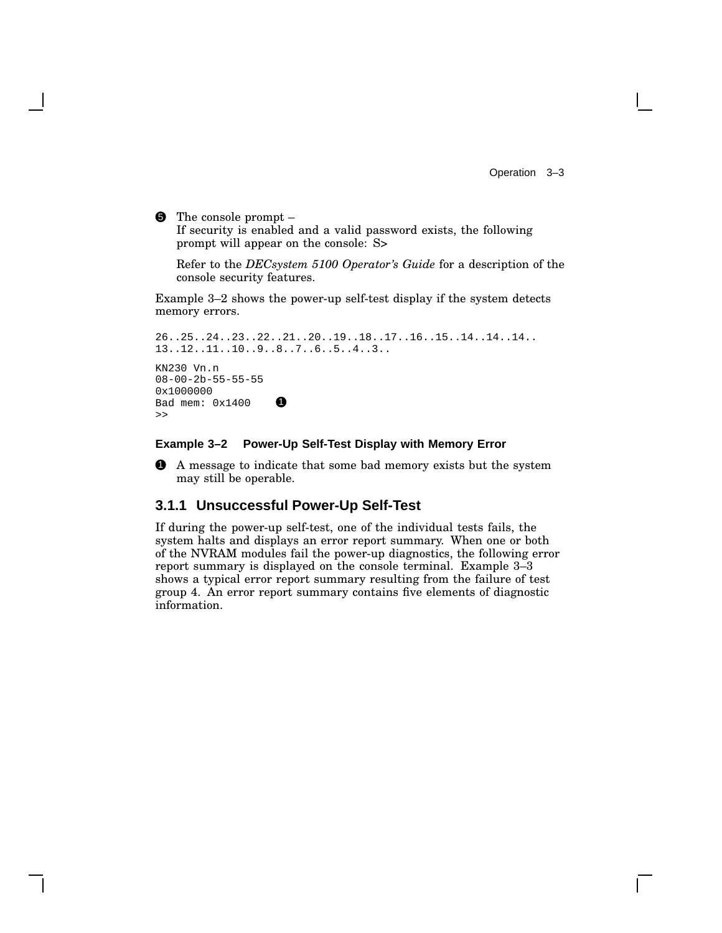5 The console prompt – If security is enabled and a valid password exists, the following prompt will appear on the console: S>

Refer to the *DECsystem 5100 Operator's Guide* for a description of the console security features.

Example 3–2 shows the power-up self-test display if the system detects memory errors.

```
26..25..24..23..22..21..20..19..18..17..16..15..14..14..14..
13..12..11..10..9..8..7..6..5..4..3..
KN230 Vn.n
08-00-2b-55-55-55
0x1000000
Bad mem: 0x1400 1
\rightarrow
```
#### **Example 3–2 Power-Up Self-Test Display with Memory Error**

1 A message to indicate that some bad memory exists but the system may still be operable.

#### **3.1.1 Unsuccessful Power-Up Self-Test**

If during the power-up self-test, one of the individual tests fails, the system halts and displays an error report summary. When one or both of the NVRAM modules fail the power-up diagnostics, the following error report summary is displayed on the console terminal. Example 3–3 shows a typical error report summary resulting from the failure of test group 4. An error report summary contains five elements of diagnostic information.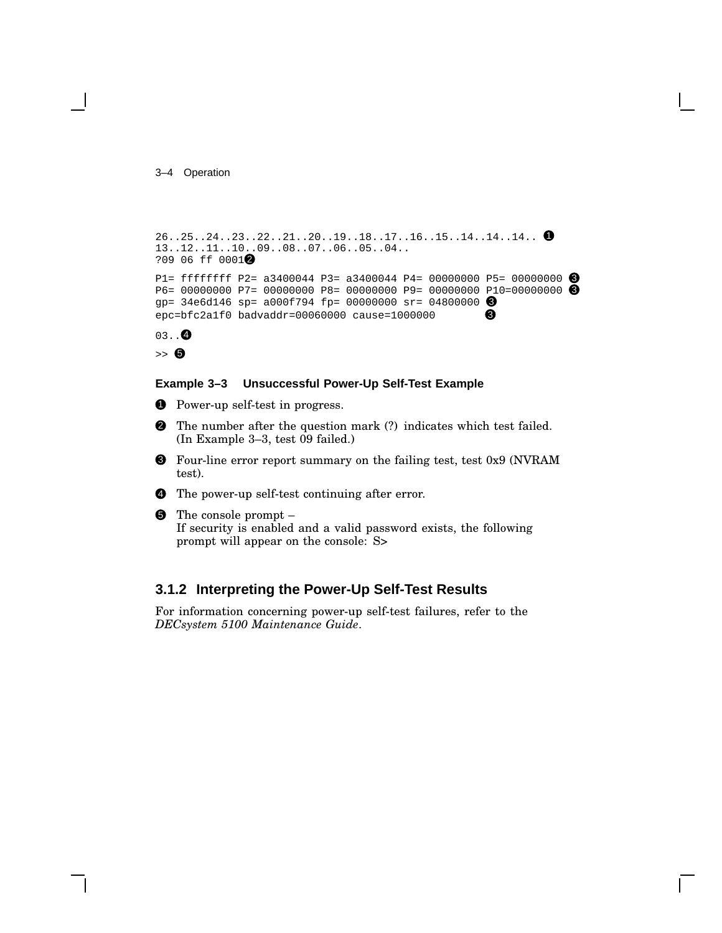#### 3–4 Operation

```
26..25..24..23..22..21..20..19..18..17..16..15..14..14..14.. <sup>0</sup>
13..12..11..10..09..08..07..06..05..04..
?09 06 ff 0001<sup>0</sup>
P1= ffffffff P2= a3400044 P3= a3400044 P4= 00000000 P5= 00000000 \bigcircP6= 00000000 P7= 00000000 P8= 00000000 P9= 00000000 P10=00000000 3
gp= 34e6d146 sp= a000f794 fp= 00000000 sr= 04800000 3
epc=bfc2a1f0 badvaddr=00060000 cause=1000000 \bullet03..Q
```

```
\Rightarrow \bullet
```
#### **Example 3–3 Unsuccessful Power-Up Self-Test Example**

- **1** Power-up self-test in progress.
- 2 The number after the question mark (?) indicates which test failed. (In Example 3–3, test 09 failed.)
- 3 Four-line error report summary on the failing test, test 0x9 (NVRAM test).
- 4 The power-up self-test continuing after error.

```
5 The console prompt –
   If security is enabled and a valid password exists, the following
   prompt will appear on the console: S>
```
### **3.1.2 Interpreting the Power-Up Self-Test Results**

For information concerning power-up self-test failures, refer to the *DECsystem 5100 Maintenance Guide*.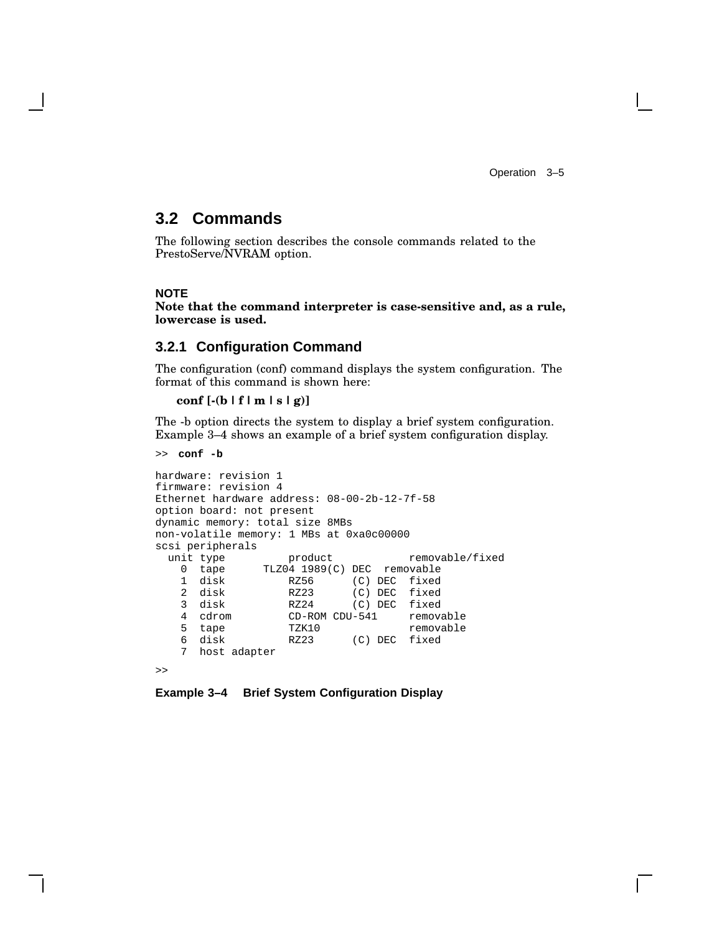Operation 3–5

### **3.2 Commands**

The following section describes the console commands related to the PrestoServe/NVRAM option.

#### **NOTE**

**Note that the command interpreter is case-sensitive and, as a rule, lowercase is used.**

#### **3.2.1 Configuration Command**

The configuration (conf) command displays the system configuration. The format of this command is shown here:

```
conf [-(b | f | m | s | g)]
```
The -b option directs the system to display a brief system configuration. Example 3–4 shows an example of a brief system configuration display.

```
>> conf -b
```

```
hardware: revision 1
firmware: revision 4
Ethernet hardware address: 08-00-2b-12-7f-58
option board: not present
dynamic memory: total size 8MBs
non-volatile memory: 1 MBs at 0xa0c00000
scsi peripherals<br>unit type
                    product removable/fixed
   0 tape TLZ04 1989(C) DEC removable<br>1 disk RZ56 (C) DEC fixed
                              (C) DEC fixed
   2 disk RZ23 (C) DEC fixed<br>3 disk RZ24 (C) DEC fixed
    3 disk RZ24 (C) DEC fixed
   4 cdrom CD-ROM CDU-541<br>5 tape TZK10
      tape TZK10 removable
   6 disk RZ23 (C) DEC fixed
   7 host adapter
>>
```
#### **Example 3–4 Brief System Configuration Display**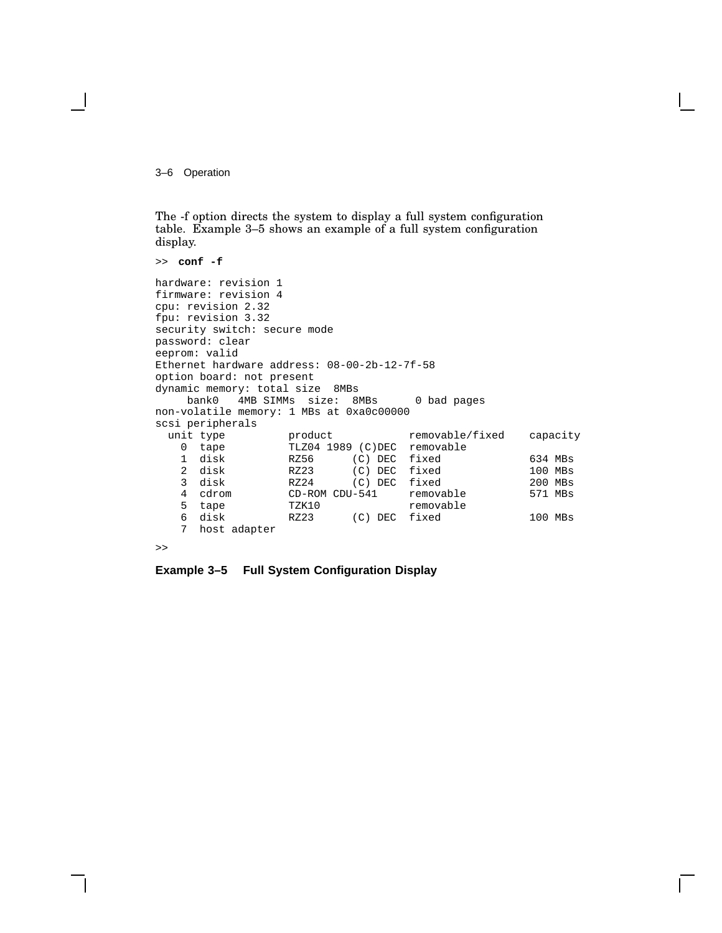3–6 Operation

The -f option directs the system to display a full system configuration table. Example 3–5 shows an example of a full system configuration display.

```
>> conf -f
hardware: revision 1
firmware: revision 4
cpu: revision 2.32
fpu: revision 3.32
security switch: secure mode
password: clear
eeprom: valid
Ethernet hardware address: 08-00-2b-12-7f-58
option board: not present
dynamic memory: total size 8MBs
    bank0 4MB SIMMs size: 8MBs 0 bad pages
non-volatile memory: 1 MBs at 0xa0c00000
scsi peripherals<br>unit type
                    product removable/fixed capacity
   0 tape TLZ04 1989 (C)DEC removable<br>1 disk RZ56 (C)DEC fixed
   1 disk RZ56 (C) DEC fixed 634 MBs<br>2 disk RZ23 (C) DEC fixed 100 MBs
                              (C) DEC fixed 100 MBs<br>(C) DEC fixed 200 MBs
   3 disk RZ24 (C) DEC fixed
   4 cdrom CD-ROM CDU-541 removable 571 MBs<br>5 tape TZK10 removable
   5 tape TZK10 removable
                             (C) DEC fixed 100 MBs
   7 host adapter
```
 $\rightarrow$ 

**Example 3–5 Full System Configuration Display**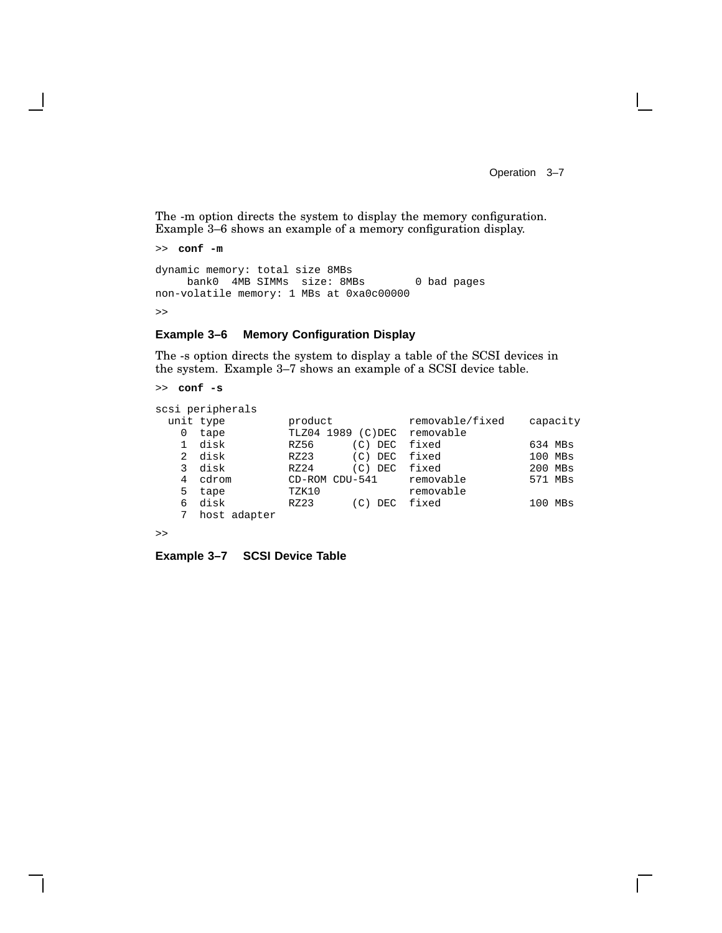Operation 3–7

 $\mathbf{I}$ 

The -m option directs the system to display the memory configuration. Example 3–6 shows an example of a memory configuration display.

```
>> conf -m
dynamic memory: total size 8MBs
    bank0 4MB SIMMs size: 8MBs 0 bad pages
non-volatile memory: 1 MBs at 0xa0c00000
>>
```
#### **Example 3–6 Memory Configuration Display**

The -s option directs the system to display a table of the SCSI devices in the system. Example 3–7 shows an example of a SCSI device table.

```
>> conf -s
```

|   | scsi peripherals |                |            |                 |             |  |
|---|------------------|----------------|------------|-----------------|-------------|--|
|   | unit type        | product        |            | removable/fixed | capacity    |  |
|   | tape             | 1989<br>TLZ04  | $(C)$ DEC  | removable       |             |  |
|   | disk             | RZ56           | $(C)$ DEC  | fixed           | 634 MBs     |  |
| 2 | disk             | RZ23           | (C)<br>DEC | fixed           | 100 MBs     |  |
|   | disk             | RZ24           | $(C)$ DEC  | fixed           | 200 MBs     |  |
|   | cdrom            | CD-ROM CDU-541 |            | removable       | 571 MBs     |  |
| 5 | tape             | TZK10          |            | removable       |             |  |
| 6 | disk             | RZ23           | DEC<br>(C) | fixed           | MBs<br>100. |  |
|   | host adapter     |                |            |                 |             |  |
|   |                  |                |            |                 |             |  |

```
>>
```
**Example 3–7 SCSI Device Table**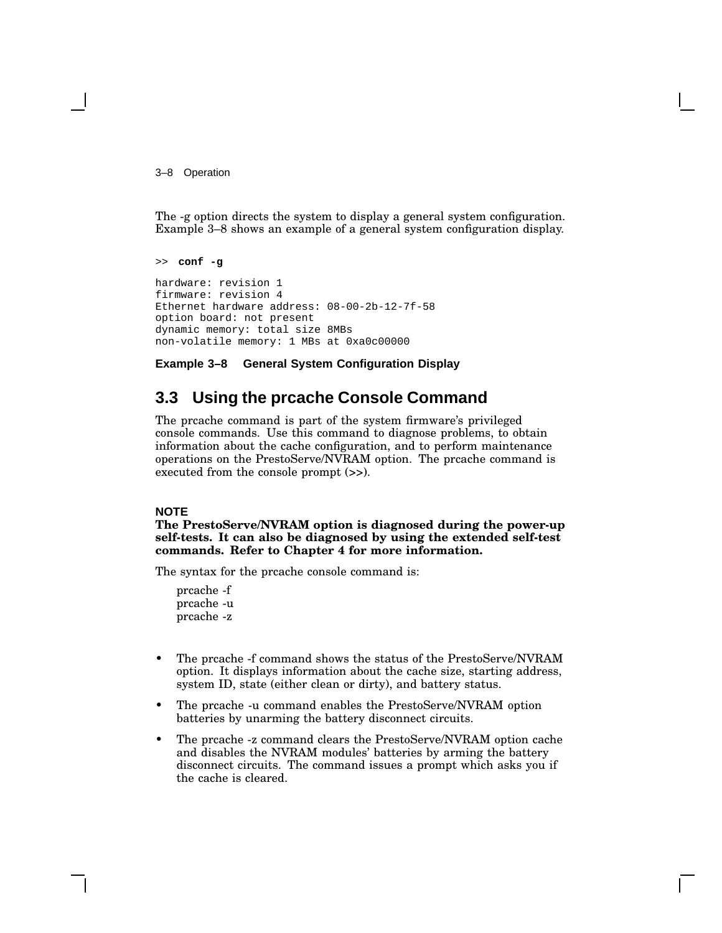3–8 Operation

The -g option directs the system to display a general system configuration. Example 3–8 shows an example of a general system configuration display.

```
>> conf -g
hardware: revision 1
firmware: revision 4
Ethernet hardware address: 08-00-2b-12-7f-58
option board: not present
dynamic memory: total size 8MBs
non-volatile memory: 1 MBs at 0xa0c00000
```
#### **Example 3–8 General System Configuration Display**

## **3.3 Using the prcache Console Command**

The prcache command is part of the system firmware's privileged console commands. Use this command to diagnose problems, to obtain information about the cache configuration, and to perform maintenance operations on the PrestoServe/NVRAM option. The prcache command is executed from the console prompt (>>).

#### **NOTE**

**The PrestoServe/NVRAM option is diagnosed during the power-up self-tests. It can also be diagnosed by using the extended self-test commands. Refer to Chapter 4 for more information.**

The syntax for the prcache console command is:

prcache -f prcache -u prcache -z

- The preache -f command shows the status of the PrestoServe/NVRAM option. It displays information about the cache size, starting address, system ID, state (either clean or dirty), and battery status.
- The prcache -u command enables the PrestoServe/NVRAM option batteries by unarming the battery disconnect circuits.
- The prcache -z command clears the PrestoServe/NVRAM option cache and disables the NVRAM modules' batteries by arming the battery disconnect circuits. The command issues a prompt which asks you if the cache is cleared.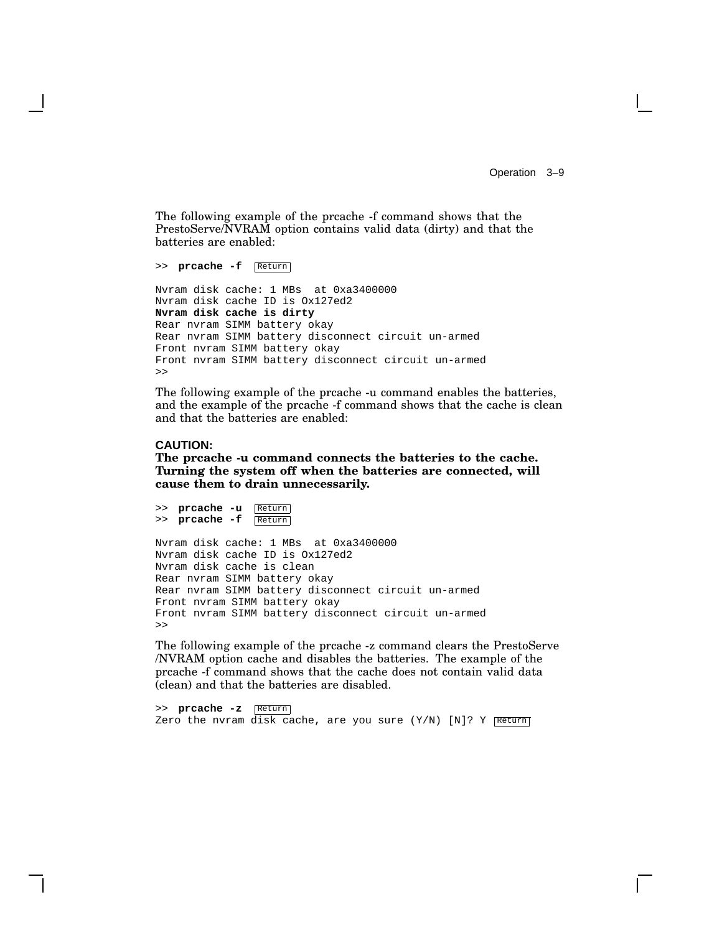Operation 3–9

The following example of the prcache -f command shows that the PrestoServe/NVRAM option contains valid data (dirty) and that the batteries are enabled:

>> **prcache -f** Return Nvram disk cache: 1 MBs at 0xa3400000 Nvram disk cache ID is Ox127ed2 **Nvram disk cache is dirty** Rear nvram SIMM battery okay Rear nvram SIMM battery disconnect circuit un-armed Front nvram SIMM battery okay Front nvram SIMM battery disconnect circuit un-armed >>

The following example of the prcache -u command enables the batteries, and the example of the prcache -f command shows that the cache is clean and that the batteries are enabled:

#### **CAUTION:**

>> **prcache -u** Return

**The prcache -u command connects the batteries to the cache. Turning the system off when the batteries are connected, will cause them to drain unnecessarily.**

>> **prcache -f** Return Nvram disk cache: 1 MBs at 0xa3400000 Nvram disk cache ID is Ox127ed2 Nvram disk cache is clean Rear nvram SIMM battery okay Rear nvram SIMM battery disconnect circuit un-armed Front nvram SIMM battery okay Front nvram SIMM battery disconnect circuit un-armed >>

The following example of the prcache -z command clears the PrestoServe /NVRAM option cache and disables the batteries. The example of the prcache -f command shows that the cache does not contain valid data (clean) and that the batteries are disabled.

>> **prcache -z** Return Zero the nvram disk cache, are you sure  $(Y/N)$  [N]? Y Return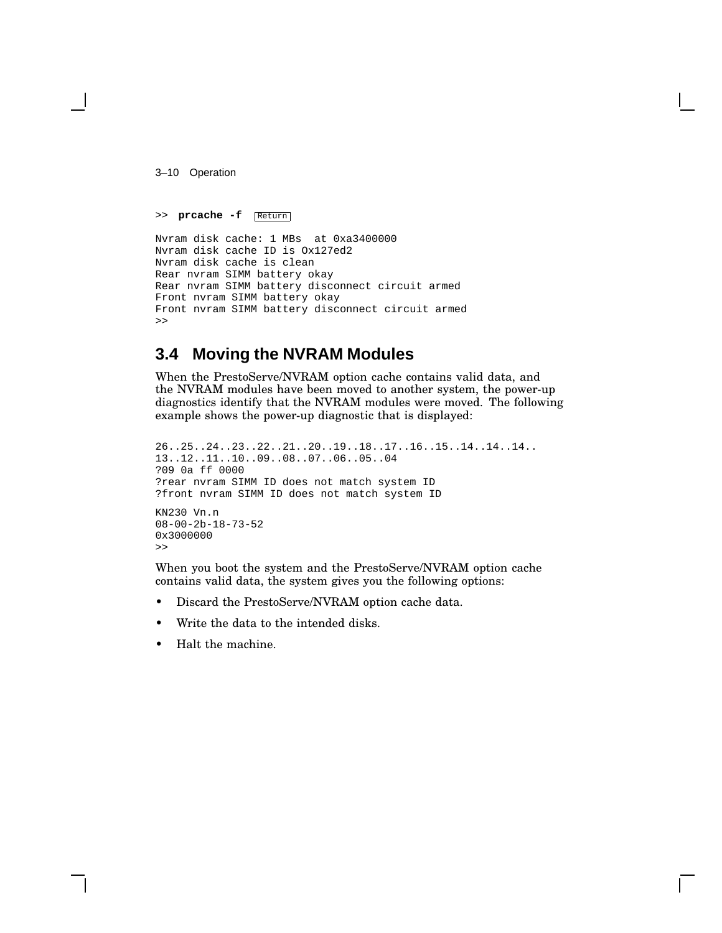3–10 Operation

```
>> prcache -f Return
```

```
Nvram disk cache: 1 MBs at 0xa3400000
Nvram disk cache ID is Ox127ed2
Nvram disk cache is clean
Rear nvram SIMM battery okay
Rear nvram SIMM battery disconnect circuit armed
Front nvram SIMM battery okay
Front nvram SIMM battery disconnect circuit armed
\rightarrow
```
## **3.4 Moving the NVRAM Modules**

When the PrestoServe/NVRAM option cache contains valid data, and the NVRAM modules have been moved to another system, the power-up diagnostics identify that the NVRAM modules were moved. The following example shows the power-up diagnostic that is displayed:

```
26..25..24..23..22..21..20..19..18..17..16..15..14..14..14..
13..12..11..10..09..08..07..06..05..04
?09 0a ff 0000
?rear nvram SIMM ID does not match system ID
?front nvram SIMM ID does not match system ID
KN230 Vn.n
08-00-2b-18-73-52
0x3000000
>>
```
When you boot the system and the PrestoServe/NVRAM option cache contains valid data, the system gives you the following options:

- Discard the PrestoServe/NVRAM option cache data.
- Write the data to the intended disks.
- Halt the machine.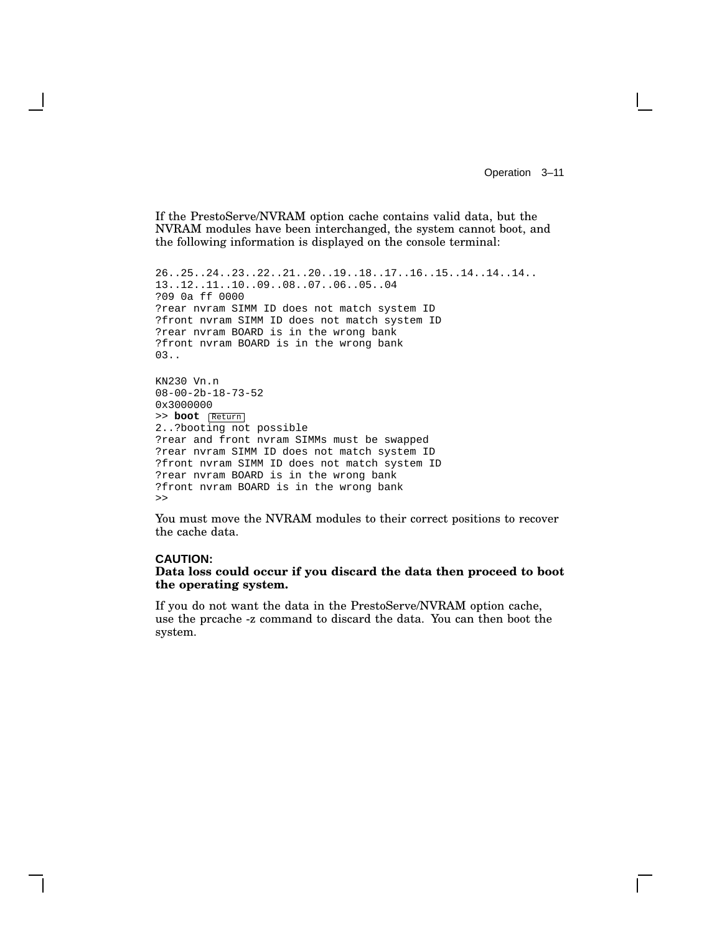Operation 3–11

If the PrestoServe/NVRAM option cache contains valid data, but the NVRAM modules have been interchanged, the system cannot boot, and the following information is displayed on the console terminal:

```
26..25..24..23..22..21..20..19..18..17..16..15..14..14..14..
13..12..11..10..09..08..07..06..05..04
?09 0a ff 0000
?rear nvram SIMM ID does not match system ID
?front nvram SIMM ID does not match system ID
?rear nvram BOARD is in the wrong bank
?front nvram BOARD is in the wrong bank
03..
KN230 Vn.n
08-00-2b-18-73-52
0x3000000
>> boot Return
2..?booting not possible
?rear and front nvram SIMMs must be swapped
?rear nvram SIMM ID does not match system ID
?front nvram SIMM ID does not match system ID
?rear nvram BOARD is in the wrong bank
?front nvram BOARD is in the wrong bank
>>
```
You must move the NVRAM modules to their correct positions to recover the cache data.

#### **CAUTION:**

#### **Data loss could occur if you discard the data then proceed to boot the operating system.**

If you do not want the data in the PrestoServe/NVRAM option cache, use the prcache -z command to discard the data. You can then boot the system.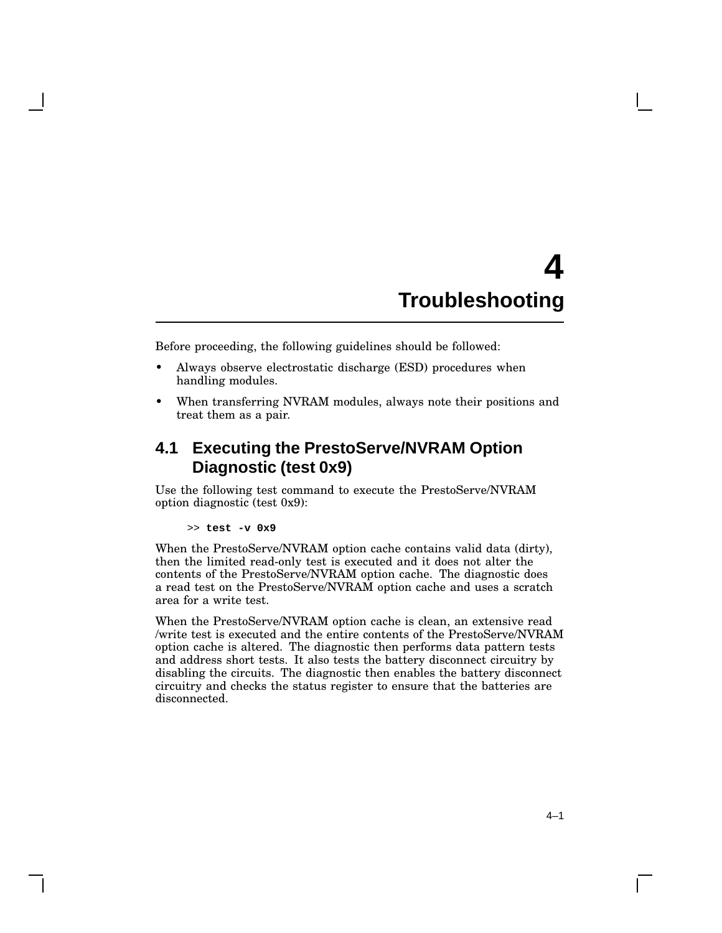## **4 Troubleshooting**

Before proceeding, the following guidelines should be followed:

- Always observe electrostatic discharge (ESD) procedures when handling modules.
- When transferring NVRAM modules, always note their positions and treat them as a pair.

## **4.1 Executing the PrestoServe/NVRAM Option Diagnostic (test 0x9)**

Use the following test command to execute the PrestoServe/NVRAM option diagnostic (test 0x9):

#### >> **test -v 0x9**

When the PrestoServe/NVRAM option cache contains valid data (dirty), then the limited read-only test is executed and it does not alter the contents of the PrestoServe/NVRAM option cache. The diagnostic does a read test on the PrestoServe/NVRAM option cache and uses a scratch area for a write test.

When the PrestoServe/NVRAM option cache is clean, an extensive read /write test is executed and the entire contents of the PrestoServe/NVRAM option cache is altered. The diagnostic then performs data pattern tests and address short tests. It also tests the battery disconnect circuitry by disabling the circuits. The diagnostic then enables the battery disconnect circuitry and checks the status register to ensure that the batteries are disconnected.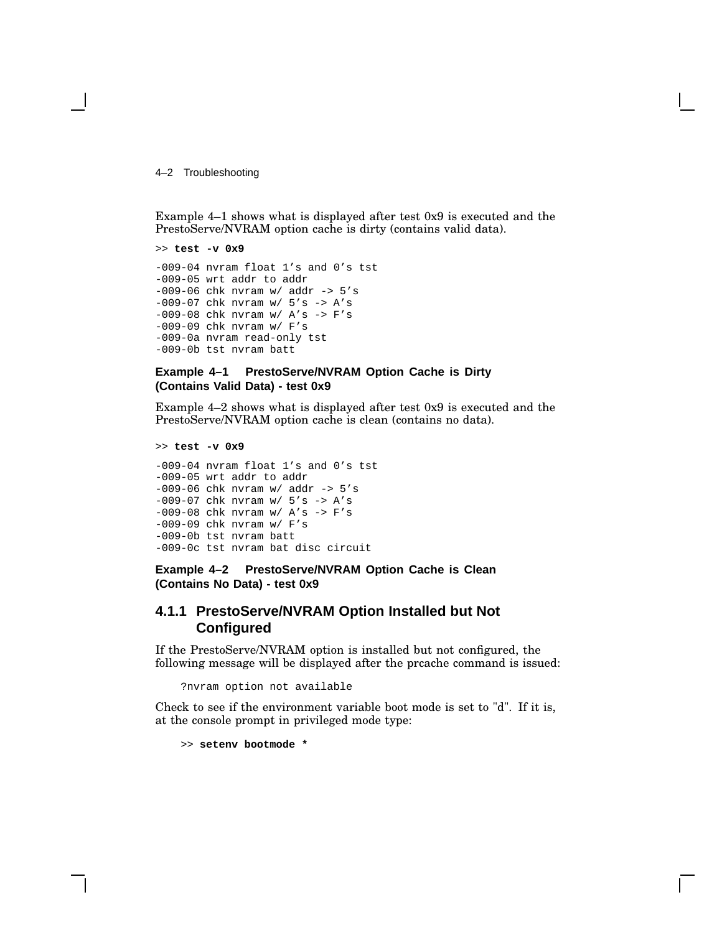4–2 Troubleshooting

Example 4–1 shows what is displayed after test 0x9 is executed and the PrestoServe/NVRAM option cache is dirty (contains valid data).

```
>> test -v 0x9
-009-04 nvram float 1's and 0's tst
-009-05 wrt addr to addr
-009-06 chk nvram w/ addr -> 5's
-009-07 chk nvram w/ 5's -> A's
-009-08 chk nvram w/ A's -> F's
-009-09 chk nvram w/ F's
-009-0a nvram read-only tst
-009-0b tst nvram batt
```
#### **Example 4–1 PrestoServe/NVRAM Option Cache is Dirty (Contains Valid Data) - test 0x9**

Example 4–2 shows what is displayed after test 0x9 is executed and the PrestoServe/NVRAM option cache is clean (contains no data).

```
>> test -v 0x9
```
-009-04 nvram float 1's and 0's tst -009-05 wrt addr to addr  $-009-06$  chk nvram w/ addr  $-$ > 5's  $-009-07$  chk nvram w/  $5's$  -> A's -009-08 chk nvram  $w /$  A's -> F's -009-09 chk nvram w/ F's -009-0b tst nvram batt -009-0c tst nvram bat disc circuit

**Example 4–2 PrestoServe/NVRAM Option Cache is Clean (Contains No Data) - test 0x9**

#### **4.1.1 PrestoServe/NVRAM Option Installed but Not Configured**

If the PrestoServe/NVRAM option is installed but not configured, the following message will be displayed after the prcache command is issued:

?nvram option not available

Check to see if the environment variable boot mode is set to "d". If it is, at the console prompt in privileged mode type:

>> **setenv bootmode \***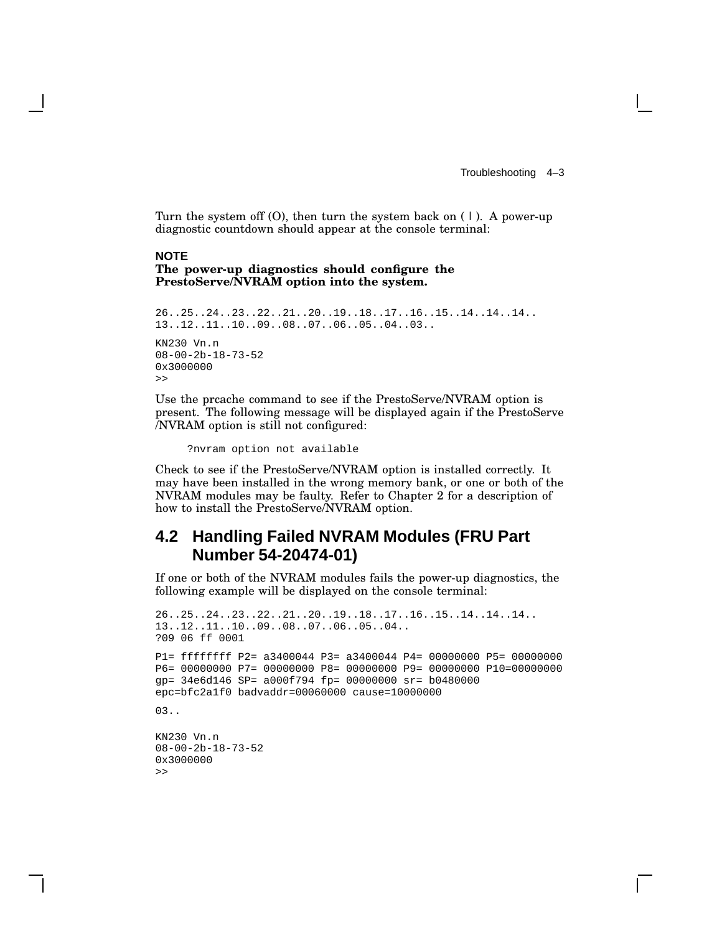Troubleshooting 4–3

Turn the system off  $(0)$ , then turn the system back on  $(1)$ . A power-up diagnostic countdown should appear at the console terminal:

## **NOTE**

#### **The power-up diagnostics should configure the PrestoServe/NVRAM option into the system.**

```
26..25..24..23..22..21..20..19..18..17..16..15..14..14..14..
13..12..11..10..09..08..07..06..05..04..03..
KN230 Vn.n
08-00-2b-18-73-52
0x3000000
>>
```
Use the prcache command to see if the PrestoServe/NVRAM option is present. The following message will be displayed again if the PrestoServe /NVRAM option is still not configured:

?nvram option not available

Check to see if the PrestoServe/NVRAM option is installed correctly. It may have been installed in the wrong memory bank, or one or both of the NVRAM modules may be faulty. Refer to Chapter 2 for a description of how to install the PrestoServe/NVRAM option.

## **4.2 Handling Failed NVRAM Modules (FRU Part Number 54-20474-01)**

If one or both of the NVRAM modules fails the power-up diagnostics, the following example will be displayed on the console terminal:

```
26..25..24..23..22..21..20..19..18..17..16..15..14..14..14..
13..12..11..10..09..08..07..06..05..04..
?09 06 ff 0001
P1= ffffffff P2= a3400044 P3= a3400044 P4= 00000000 P5= 00000000
P6= 00000000 P7= 00000000 P8= 00000000 P9= 00000000 P10=00000000
gp= 34e6d146 SP= a000f794 fp= 00000000 sr= b0480000
epc=bfc2a1f0 badvaddr=00060000 cause=10000000
03..
KN230 Vn.n
08-00-2b-18-73-52
0x3000000
>>
```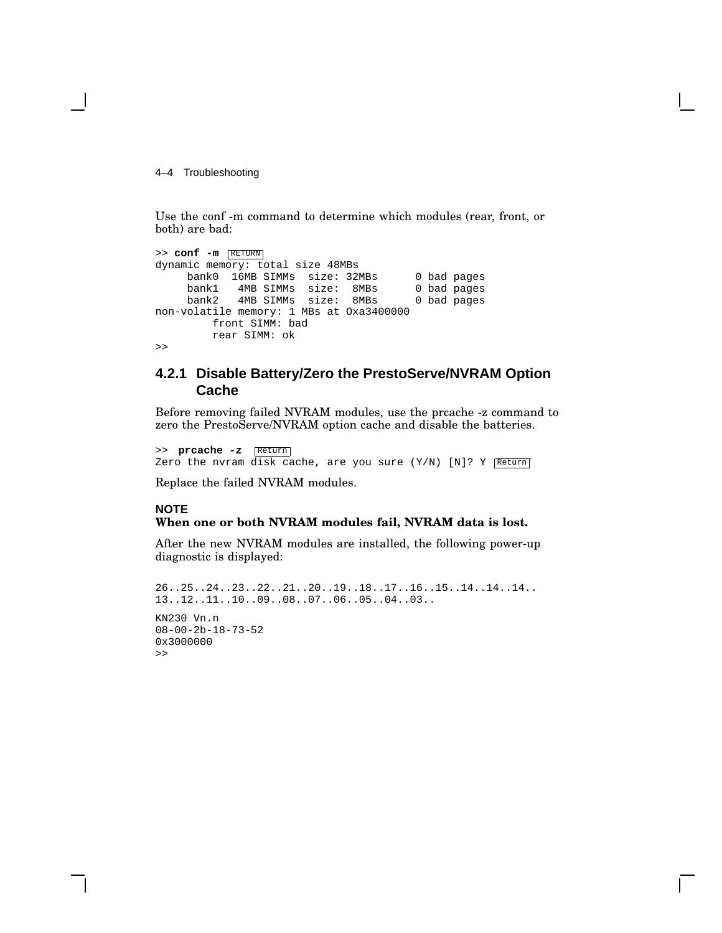4–4 Troubleshooting

Use the conf -m command to determine which modules (rear, front, or both) are bad:

```
>> conf -m RETURN
dynamic memory: total size 48MBs
    bank0 16MB SIMMs size: 32MBs 0 bad pages
    bank1 4MB SIMMs size: 8MBs 0 bad pages
    bank2 4MB SIMMs size: 8MBs 0 bad pages
non-volatile memory: 1 MBs at Oxa3400000
        front SIMM: bad
        rear SIMM: ok
>>
```
#### **4.2.1 Disable Battery/Zero the PrestoServe/NVRAM Option Cache**

Before removing failed NVRAM modules, use the prcache -z command to zero the PrestoServe/NVRAM option cache and disable the batteries.

>> **prcache -z** Return Zero the nvram disk cache, are you sure  $(Y/N)$  [N]? Y Return]

Replace the failed NVRAM modules.

#### **NOTE**

#### **When one or both NVRAM modules fail, NVRAM data is lost.**

After the new NVRAM modules are installed, the following power-up diagnostic is displayed:

```
26..25..24..23..22..21..20..19..18..17..16..15..14..14..14..
13..12..11..10..09..08..07..06..05..04..03..
KN230 Vn.n
08-00-2b-18-73-52
0x3000000
\rightarrow
```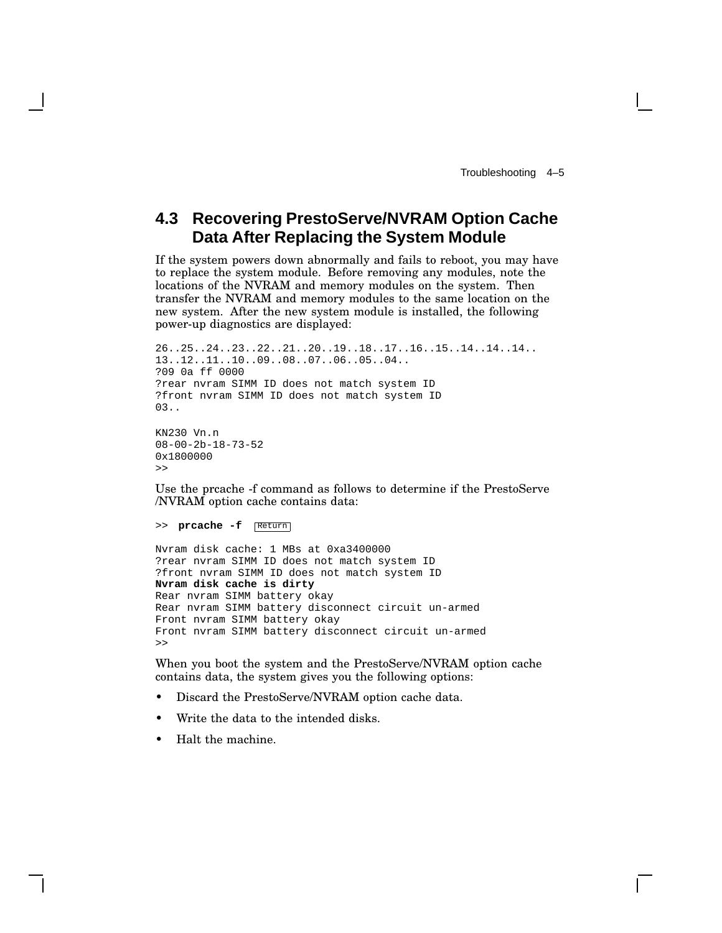## **4.3 Recovering PrestoServe/NVRAM Option Cache Data After Replacing the System Module**

If the system powers down abnormally and fails to reboot, you may have to replace the system module. Before removing any modules, note the locations of the NVRAM and memory modules on the system. Then transfer the NVRAM and memory modules to the same location on the new system. After the new system module is installed, the following power-up diagnostics are displayed:

```
26..25..24..23..22..21..20..19..18..17..16..15..14..14..14..
13..12..11..10..09..08..07..06..05..04..
?09 0a ff 0000
?rear nvram SIMM ID does not match system ID
?front nvram SIMM ID does not match system ID
03..
KN230 Vn.n
08-00-2b-18-73-52
0x1800000
```
Use the prcache -f command as follows to determine if the PrestoServe /NVRAM option cache contains data:

>> **prcache -f** Return

>>

```
Nvram disk cache: 1 MBs at 0xa3400000
?rear nvram SIMM ID does not match system ID
?front nvram SIMM ID does not match system ID
Nvram disk cache is dirty
Rear nvram SIMM battery okay
Rear nvram SIMM battery disconnect circuit un-armed
Front nvram SIMM battery okay
Front nvram SIMM battery disconnect circuit un-armed
>>
```
When you boot the system and the PrestoServe/NVRAM option cache contains data, the system gives you the following options:

- Discard the PrestoServe/NVRAM option cache data.
- Write the data to the intended disks.
- Halt the machine.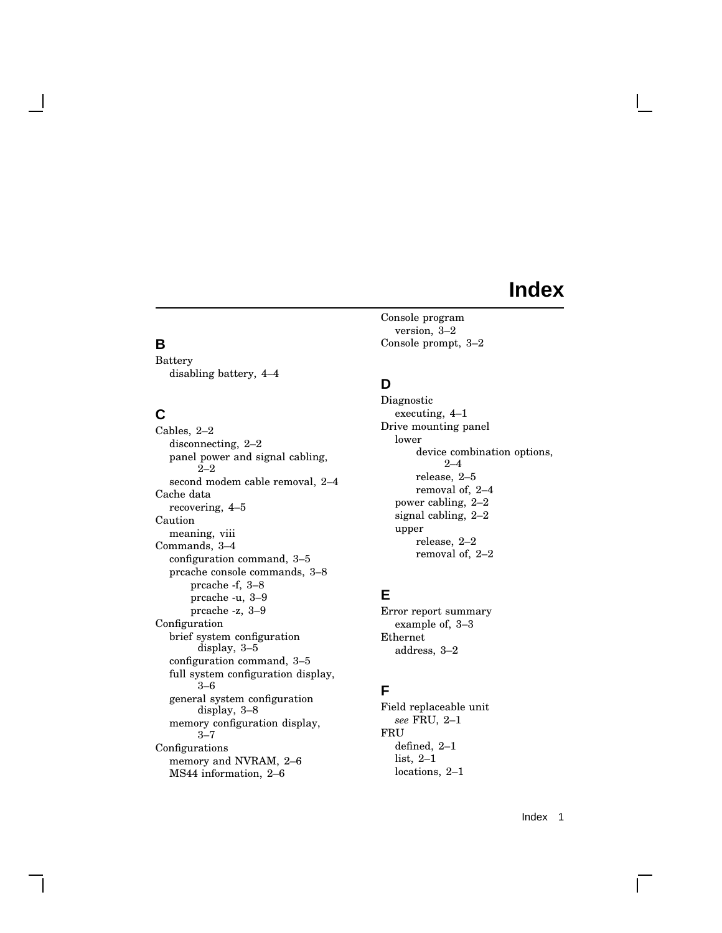## **Index**

## **B**

Battery disabling battery, 4–4

## **C**

Cables, 2–2 disconnecting, 2–2 panel power and signal cabling, 2–2 second modem cable removal, 2–4 Cache data recovering, 4–5 Caution meaning, viii Commands, 3–4 configuration command, 3–5 prcache console commands, 3–8 prcache -f, 3–8 prcache -u, 3–9 prcache -z, 3–9 Configuration brief system configuration display, 3–5 configuration command, 3–5 full system configuration display, 3–6 general system configuration display, 3–8 memory configuration display, 3–7 Configurations memory and NVRAM, 2–6 MS44 information, 2–6

Console program version, 3–2 Console prompt, 3–2

## **D**

Diagnostic executing, 4–1 Drive mounting panel lower device combination options, 2–4 release, 2–5 removal of, 2–4 power cabling, 2–2 signal cabling, 2–2 upper release, 2–2 removal of, 2–2

## **E**

Error report summary example of, 3–3 Ethernet address, 3–2

### **F**

Field replaceable unit *see* FRU, 2–1 FRU defined, 2–1 list, 2–1 locations, 2–1

Index 1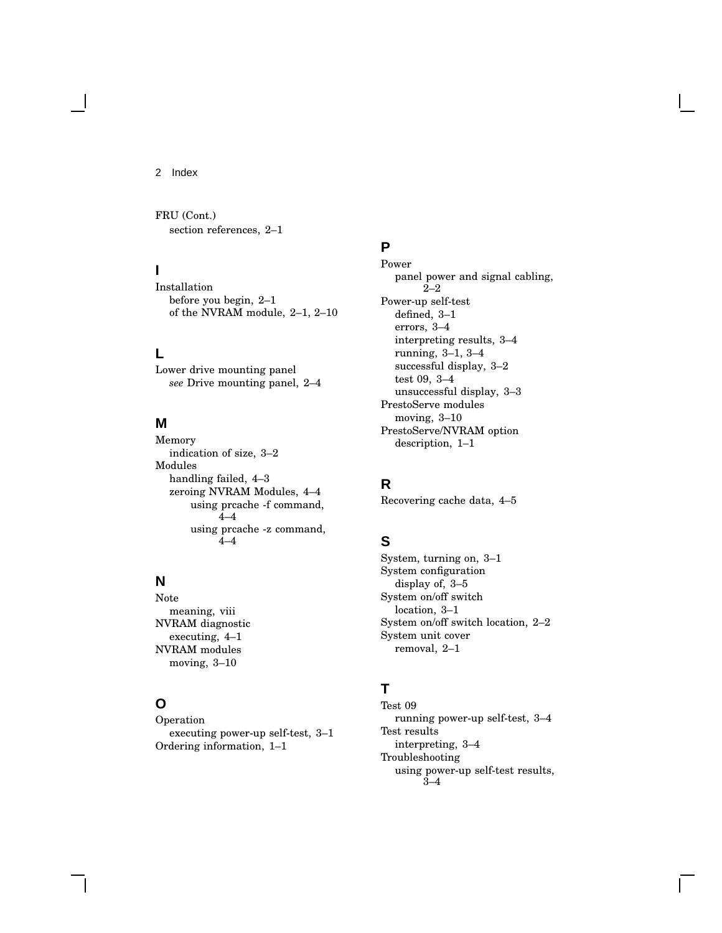2 Index

FRU (Cont.) section references, 2–1

### **I**

Installation before you begin, 2–1 of the NVRAM module, 2–1, 2–10

### **L**

Lower drive mounting panel *see* Drive mounting panel, 2–4

#### **M**

Memory indication of size, 3–2 Modules handling failed, 4–3 zeroing NVRAM Modules, 4–4 using prcache -f command, 4–4 using prcache -z command, 4–4

## **N**

Note meaning, viii NVRAM diagnostic executing, 4–1 NVRAM modules moving, 3–10

### **O**

Operation executing power-up self-test, 3–1 Ordering information, 1–1

### **P**

Power panel power and signal cabling, 2–2 Power-up self-test defined, 3–1 errors, 3–4 interpreting results, 3–4 running, 3–1, 3–4 successful display, 3–2 test 09, 3–4 unsuccessful display, 3–3 PrestoServe modules moving, 3–10 PrestoServe/NVRAM option description, 1–1

### **R**

Recovering cache data, 4–5

## **S**

System, turning on, 3–1 System configuration display of, 3–5 System on/off switch location, 3–1 System on/off switch location, 2–2 System unit cover removal, 2–1

## **T**

Test 09 running power-up self-test, 3–4 Test results interpreting, 3–4 Troubleshooting using power-up self-test results, 3–4